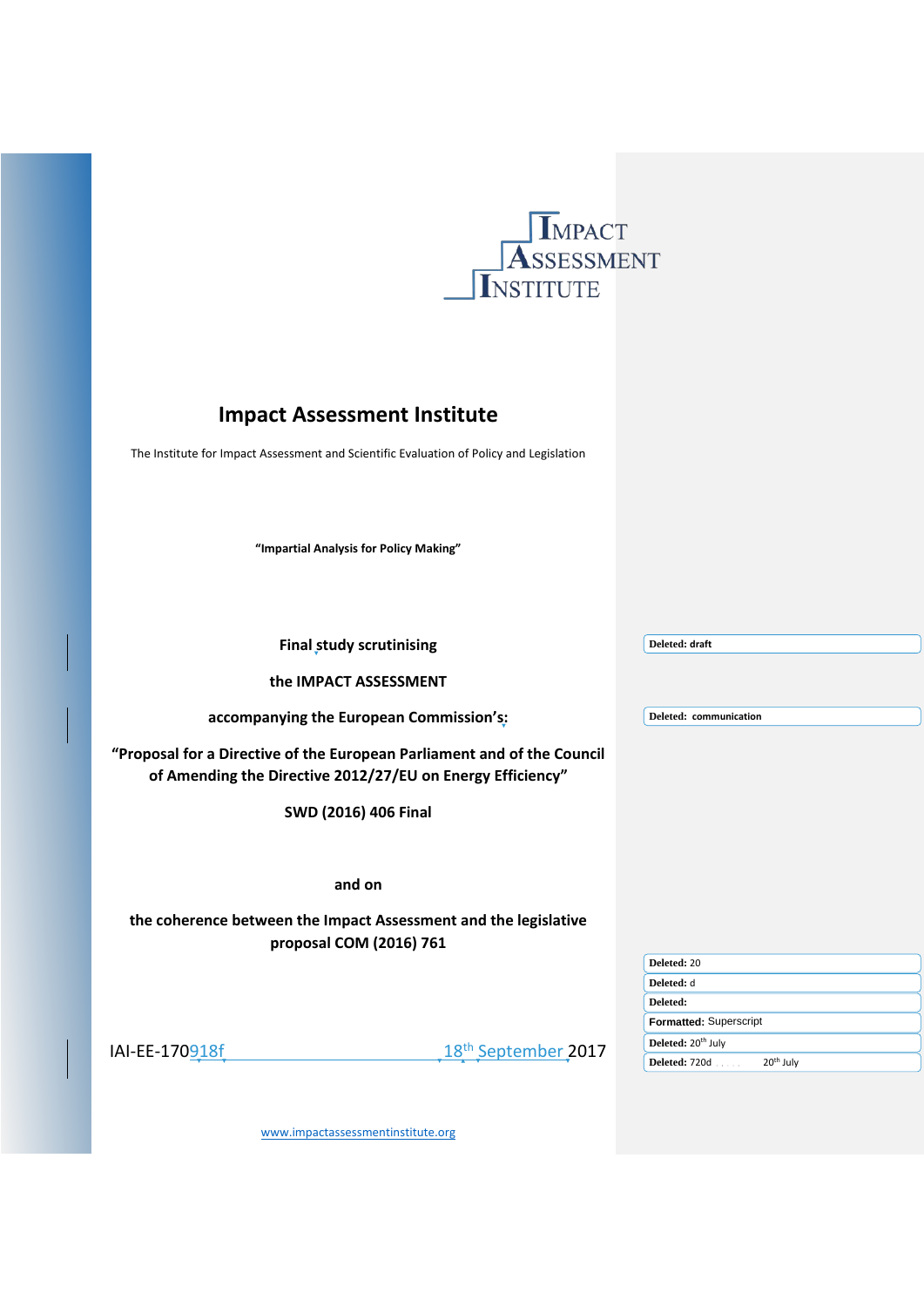

# **Impact Assessment Institute**

The Institute for Impact Assessment and Scientific Evaluation of Policy and Legislation

**"Impartial Analysis for Policy Making"**

| <b>Final study scrutinising</b>                                                                                                       | Deleted: draft                         |
|---------------------------------------------------------------------------------------------------------------------------------------|----------------------------------------|
| the IMPACT ASSESSMENT                                                                                                                 |                                        |
| accompanying the European Commission's:                                                                                               | Deleted: communication                 |
| "Proposal for a Directive of the European Parliament and of the Council<br>of Amending the Directive 2012/27/EU on Energy Efficiency" |                                        |
| SWD (2016) 406 Final                                                                                                                  |                                        |
|                                                                                                                                       |                                        |
| and on                                                                                                                                |                                        |
| the coherence between the Impact Assessment and the legislative<br>proposal COM (2016) 761                                            |                                        |
|                                                                                                                                       | Deleted: 20                            |
|                                                                                                                                       | Deleted: d                             |
|                                                                                                                                       | Deleted:                               |
|                                                                                                                                       | Formatted: Superscript                 |
| 18 <sup>th</sup> September 2017<br>IAI-EE-170918f                                                                                     | Deleted: 20 <sup>th</sup> July         |
|                                                                                                                                       | Deleted: 720d<br>20 <sup>th</sup> July |

[www.impactassessmentinstitute.org](http://www.impactassessmentinstitute.org/)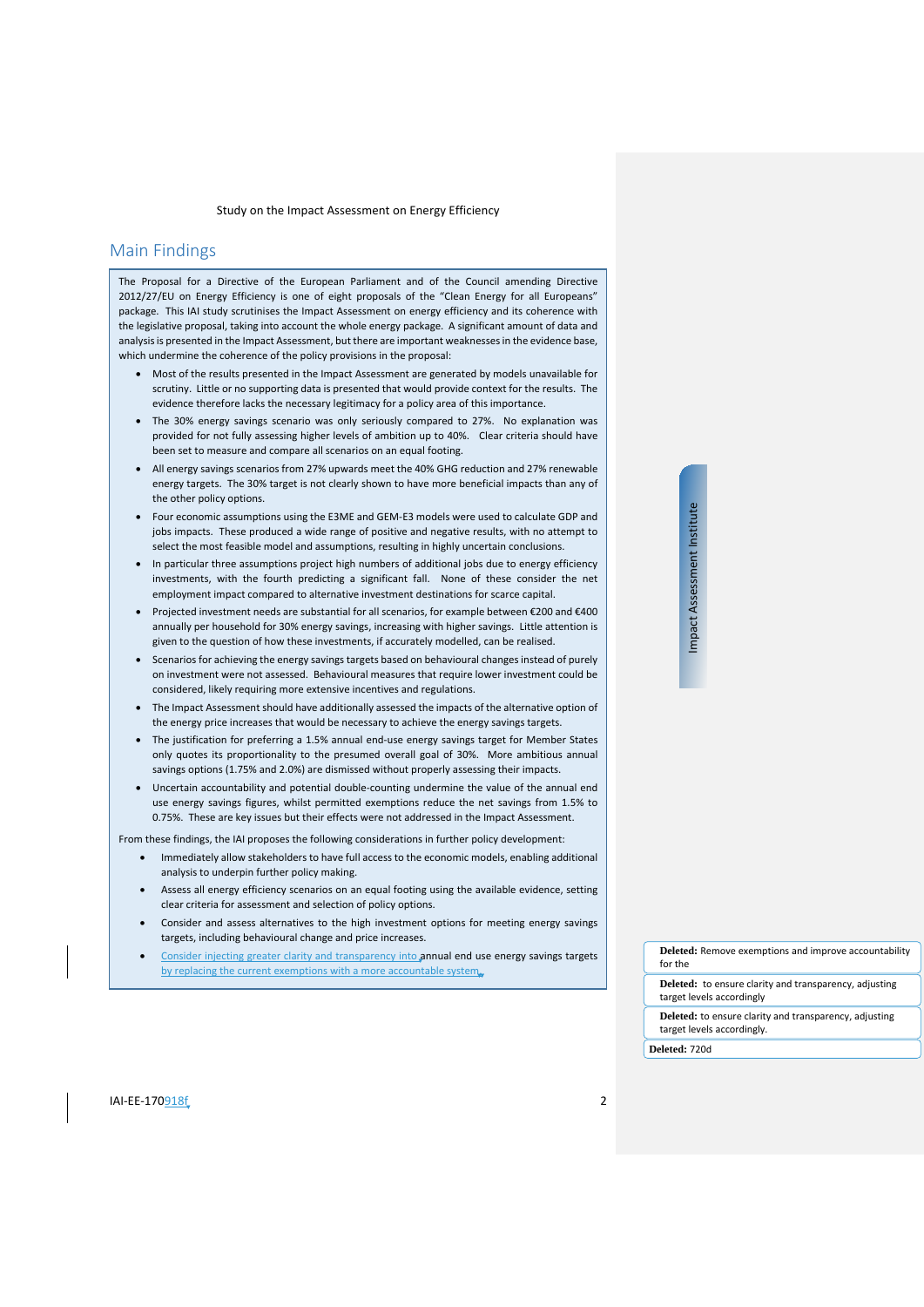# <span id="page-1-0"></span>Main Findings

The Proposal for a Directive of the European Parliament and of the Council amending Directive 2012/27/EU on Energy Efficiency is one of eight proposals of the "Clean Energy for all Europeans" package. This IAI study scrutinises the Impact Assessment on energy efficiency and its coherence with the legislative proposal, taking into account the whole energy package. A significant amount of data and analysis is presented in the Impact Assessment, but there are important weaknesses in the evidence base, which undermine the coherence of the policy provisions in the proposal:

- Most of the results presented in the Impact Assessment are generated by models unavailable for scrutiny. Little or no supporting data is presented that would provide context for the results. The evidence therefore lacks the necessary legitimacy for a policy area of this importance.
- The 30% energy savings scenario was only seriously compared to 27%. No explanation was provided for not fully assessing higher levels of ambition up to 40%. Clear criteria should have been set to measure and compare all scenarios on an equal footing.
- All energy savings scenarios from 27% upwards meet the 40% GHG reduction and 27% renewable energy targets. The 30% target is not clearly shown to have more beneficial impacts than any of the other policy options.
- Four economic assumptions using the E3ME and GEM-E3 models were used to calculate GDP and jobs impacts. These produced a wide range of positive and negative results, with no attempt to select the most feasible model and assumptions, resulting in highly uncertain conclusions.
- In particular three assumptions project high numbers of additional jobs due to energy efficiency investments, with the fourth predicting a significant fall. None of these consider the net employment impact compared to alternative investment destinations for scarce capital.
- Projected investment needs are substantial for all scenarios, for example between €200 and €400 annually per household for 30% energy savings, increasing with higher savings. Little attention is given to the question of how these investments, if accurately modelled, can be realised.
- Scenarios for achieving the energy savings targets based on behavioural changes instead of purely on investment were not assessed. Behavioural measures that require lower investment could be considered, likely requiring more extensive incentives and regulations.
- The Impact Assessment should have additionally assessed the impacts of the alternative option of the energy price increases that would be necessary to achieve the energy savings targets.
- The justification for preferring a 1.5% annual end-use energy savings target for Member States only quotes its proportionality to the presumed overall goal of 30%. More ambitious annual savings options (1.75% and 2.0%) are dismissed without properly assessing their impacts.
- Uncertain accountability and potential double-counting undermine the value of the annual end use energy savings figures, whilst permitted exemptions reduce the net savings from 1.5% to 0.75%. These are key issues but their effects were not addressed in the Impact Assessment.

From these findings, the IAI proposes the following considerations in further policy development:

- Immediately allow stakeholders to have full access to the economic models, enabling additional analysis to underpin further policy making.
- Assess all energy efficiency scenarios on an equal footing using the available evidence, setting clear criteria for assessment and selection of policy options.
- Consider and assess alternatives to the high investment options for meeting energy savings targets, including behavioural change and price increases.
- Consider injecting greater clarity and transparency into annual end use energy savings targets by replacing the current exemptions with a more accountable system.

Impact Assessment Institute Impact Assessment Institute

**Deleted:** Remove exemptions and improve accountability for the

**Deleted:** to ensure clarity and transparency, adjusting target levels accordingly

**Deleted:** to ensure clarity and transparency, adjusting target levels accordingly.

**Deleted:** 720d

IAI-EE-170918f 2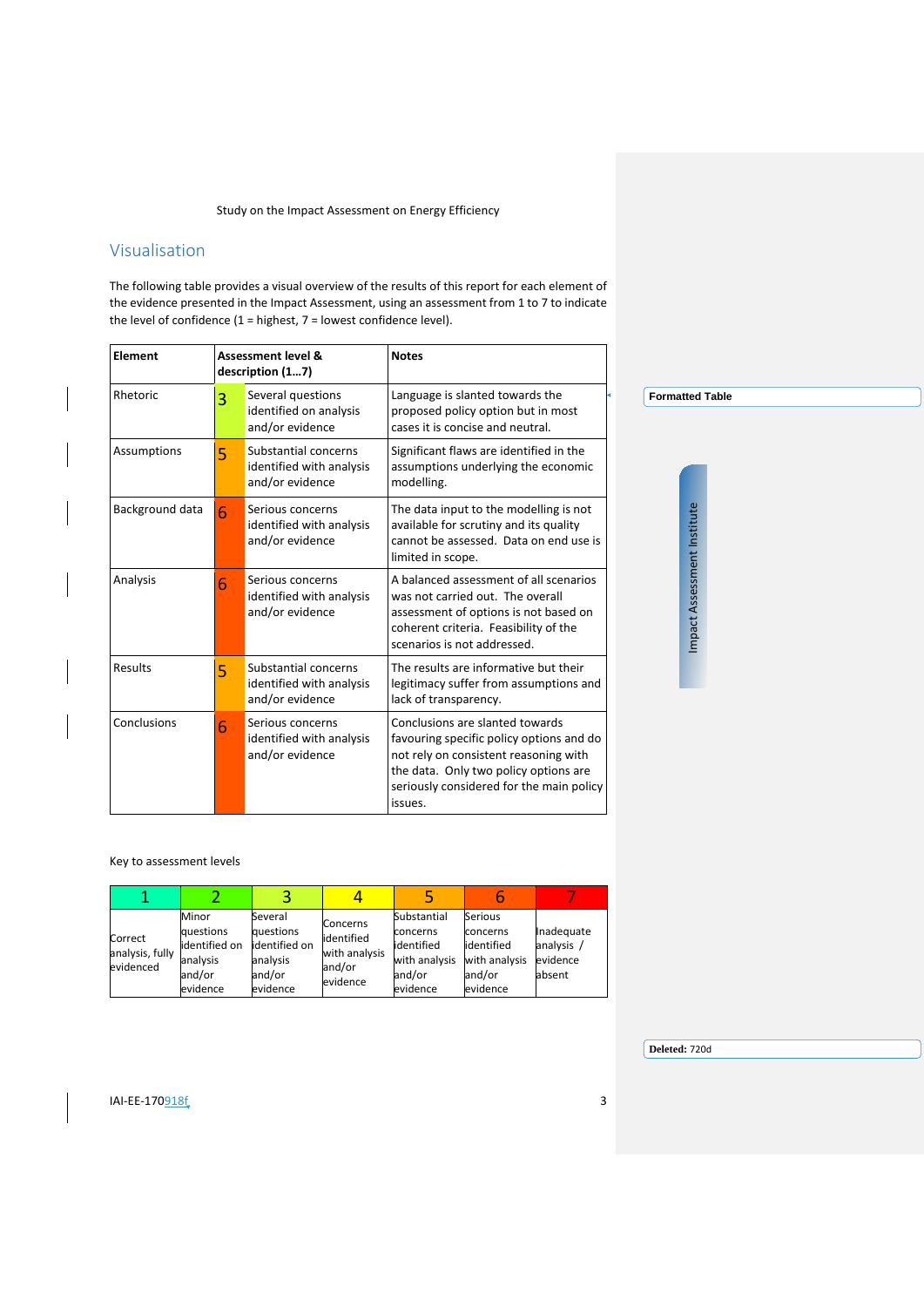# <span id="page-2-0"></span>Visualisation

The following table provides a visual overview of the results of this report for each element of the evidence presented in the Impact Assessment, using an assessment from 1 to 7 to indicate the level of confidence (1 = highest, 7 = lowest confidence level).

| <b>Element</b>  |   | <b>Assessment level &amp;</b><br>description (17)                   | <b>Notes</b>                                                                                                                                                                                                         |                             |
|-----------------|---|---------------------------------------------------------------------|----------------------------------------------------------------------------------------------------------------------------------------------------------------------------------------------------------------------|-----------------------------|
| Rhetoric        | 3 | Several questions<br>identified on analysis<br>and/or evidence      | Language is slanted towards the<br>proposed policy option but in most<br>cases it is concise and neutral.                                                                                                            | <b>Formatted Table</b>      |
| Assumptions     | 5 | Substantial concerns<br>identified with analysis<br>and/or evidence | Significant flaws are identified in the<br>assumptions underlying the economic<br>modelling.                                                                                                                         |                             |
| Background data | 6 | Serious concerns<br>identified with analysis<br>and/or evidence     | The data input to the modelling is not<br>available for scrutiny and its quality<br>cannot be assessed. Data on end use is<br>limited in scope.                                                                      |                             |
| Analysis        | 6 | Serious concerns<br>identified with analysis<br>and/or evidence     | A balanced assessment of all scenarios<br>was not carried out. The overall<br>assessment of options is not based on<br>coherent criteria. Feasibility of the<br>scenarios is not addressed.                          | Impact Assessment Institute |
| Results         | 5 | Substantial concerns<br>identified with analysis<br>and/or evidence | The results are informative but their<br>legitimacy suffer from assumptions and<br>lack of transparency.                                                                                                             |                             |
| Conclusions     | 6 | Serious concerns<br>identified with analysis<br>and/or evidence     | Conclusions are slanted towards<br>favouring specific policy options and do<br>not rely on consistent reasoning with<br>the data. Only two policy options are<br>seriously considered for the main policy<br>issues. |                             |

#### Key to assessment levels

| Correct<br>analysis, fully<br>evidenced | Minor<br>questions<br>identified on<br>analysis<br>and/or<br>evidence | Several<br>questions<br>lidentified on<br>analysis<br>and/or<br>evidence | Concerns<br>identified<br>with analysis<br>and/or<br>evidence | Substantial<br>concerns<br>lidentified<br>with analysis<br>and/or<br>evidence | Serious<br>concerns<br>lidentified<br>with analysis<br>and/or<br>evidence | Inadequate<br>analysis /<br>evidence<br>absent |
|-----------------------------------------|-----------------------------------------------------------------------|--------------------------------------------------------------------------|---------------------------------------------------------------|-------------------------------------------------------------------------------|---------------------------------------------------------------------------|------------------------------------------------|

**Deleted:** 720d

**IAI-EE-170**918f 3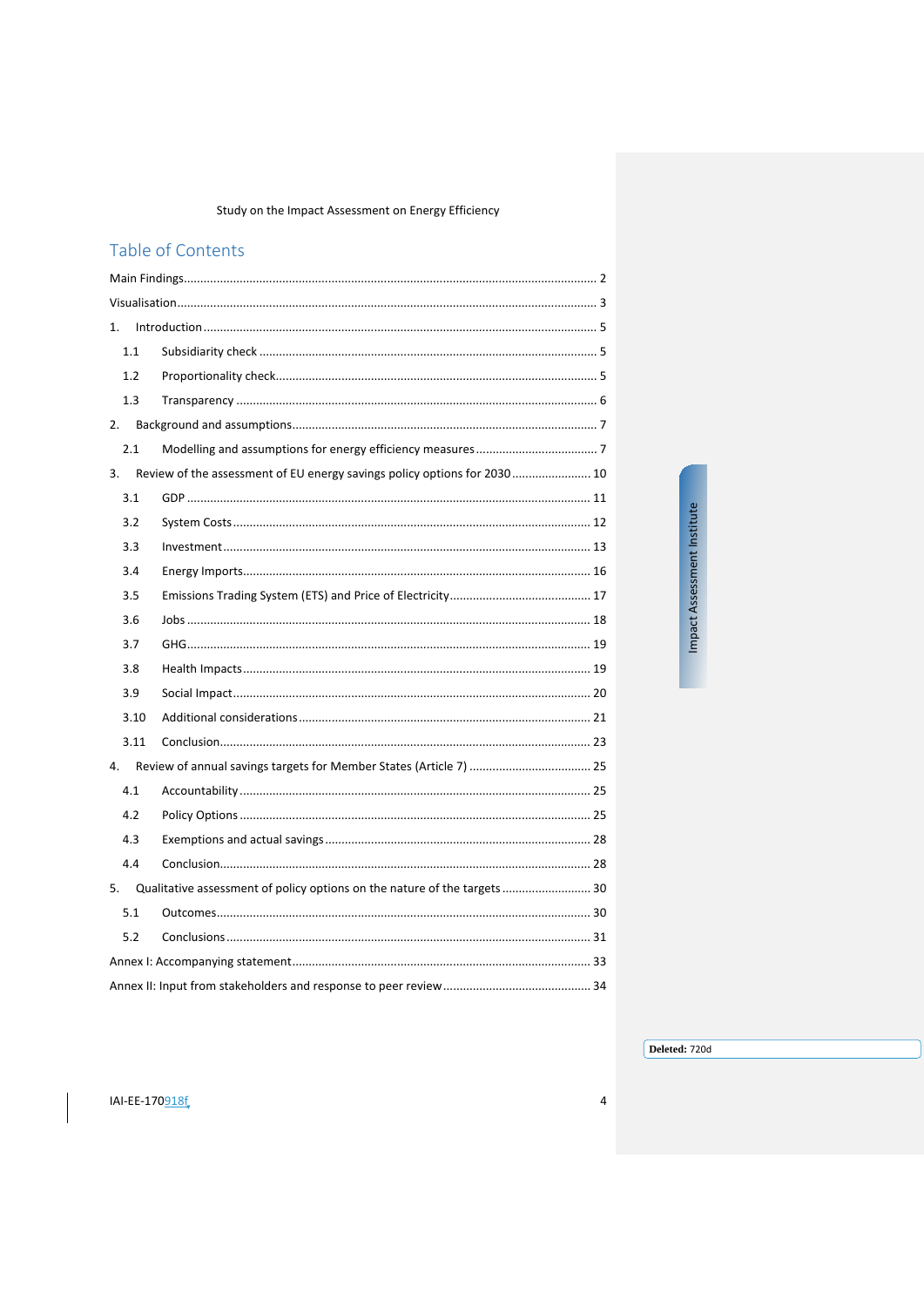# Table of Contents

| 1.   |                                                                              |  |
|------|------------------------------------------------------------------------------|--|
| 1.1  |                                                                              |  |
| 1.2  |                                                                              |  |
| 1.3  |                                                                              |  |
| 2.   |                                                                              |  |
| 2.1  |                                                                              |  |
| 3.   | Review of the assessment of EU energy savings policy options for 2030 10     |  |
| 3.1  |                                                                              |  |
| 3.2  |                                                                              |  |
| 3.3  |                                                                              |  |
| 3.4  |                                                                              |  |
| 3.5  |                                                                              |  |
| 3.6  |                                                                              |  |
| 3.7  |                                                                              |  |
| 3.8  |                                                                              |  |
| 3.9  |                                                                              |  |
| 3.10 |                                                                              |  |
| 3.11 |                                                                              |  |
| 4.   |                                                                              |  |
| 4.1  |                                                                              |  |
| 4.2  |                                                                              |  |
| 4.3  |                                                                              |  |
| 4.4  |                                                                              |  |
|      | 5. Qualitative assessment of policy options on the nature of the targets  30 |  |
| 5.1  |                                                                              |  |
| 5.2  |                                                                              |  |
|      |                                                                              |  |
|      |                                                                              |  |

Impact Assessment Institute

Deleted: 720d

 $\overline{\mathbf{4}}$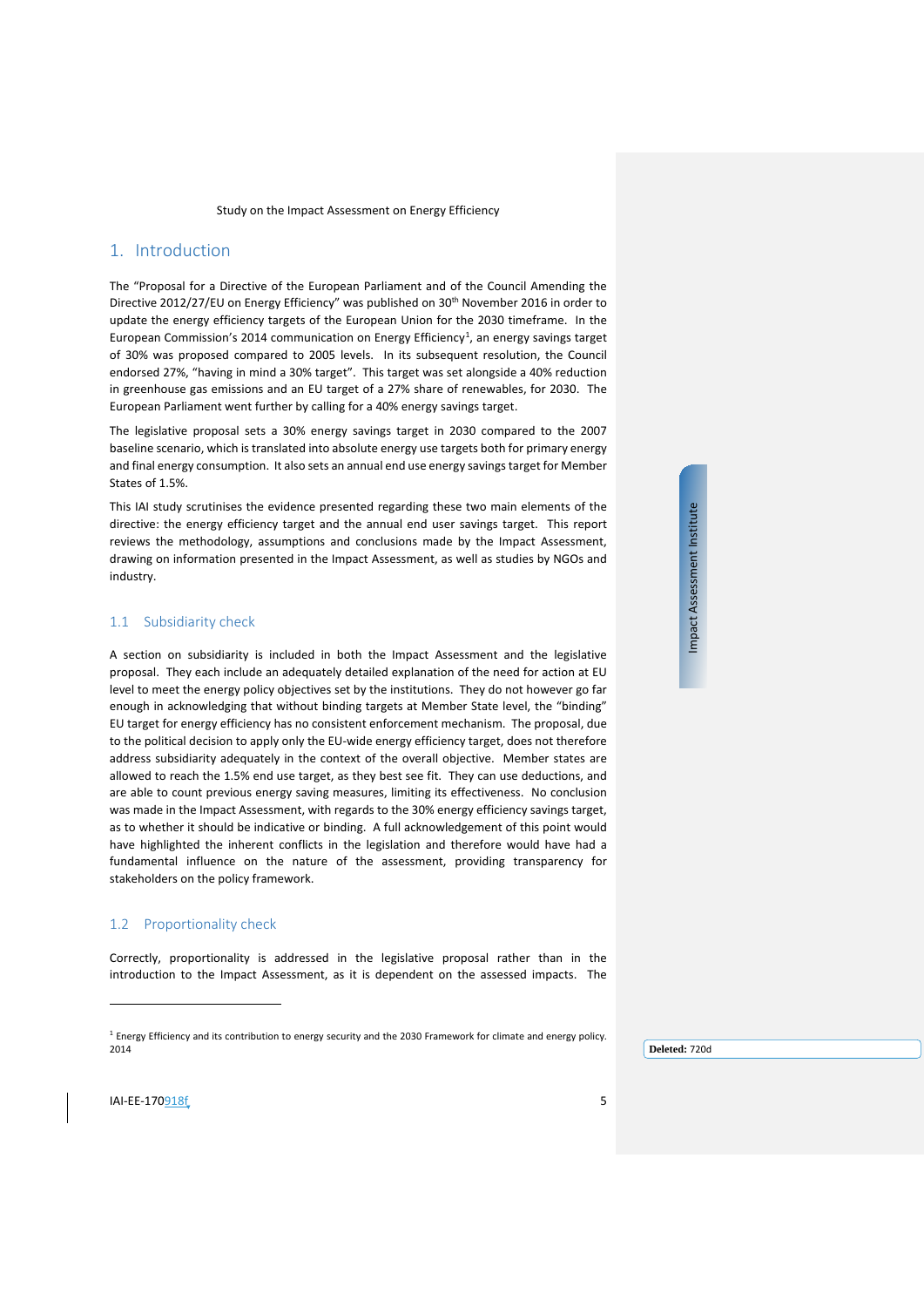# <span id="page-4-0"></span>1. Introduction

The "Proposal for a Directive of the European Parliament and of the Council Amending the Directive 2012/27/EU on Energy Efficiency" was published on 30<sup>th</sup> November 2016 in order to update the energy efficiency targets of the European Union for the 2030 timeframe. In the European Commission's 20[1](#page-4-3)4 communication on Energy Efficiency<sup>1</sup>, an energy savings target of 30% was proposed compared to 2005 levels. In its subsequent resolution, the Council endorsed 27%, "having in mind a 30% target". This target was set alongside a 40% reduction in greenhouse gas emissions and an EU target of a 27% share of renewables, for 2030. The European Parliament went further by calling for a 40% energy savings target.

The legislative proposal sets a 30% energy savings target in 2030 compared to the 2007 baseline scenario, which is translated into absolute energy use targets both for primary energy and final energy consumption. It also sets an annual end use energy savings target for Member States of 1.5%.

This IAI study scrutinises the evidence presented regarding these two main elements of the directive: the energy efficiency target and the annual end user savings target. This report reviews the methodology, assumptions and conclusions made by the Impact Assessment, drawing on information presented in the Impact Assessment, as well as studies by NGOs and industry.

## <span id="page-4-1"></span>1.1 Subsidiarity check

A section on subsidiarity is included in both the Impact Assessment and the legislative proposal. They each include an adequately detailed explanation of the need for action at EU level to meet the energy policy objectives set by the institutions. They do not however go far enough in acknowledging that without binding targets at Member State level, the "binding" EU target for energy efficiency has no consistent enforcement mechanism. The proposal, due to the political decision to apply only the EU-wide energy efficiency target, does not therefore address subsidiarity adequately in the context of the overall objective. Member states are allowed to reach the 1.5% end use target, as they best see fit. They can use deductions, and are able to count previous energy saving measures, limiting its effectiveness. No conclusion was made in the Impact Assessment, with regards to the 30% energy efficiency savings target, as to whether it should be indicative or binding. A full acknowledgement of this point would have highlighted the inherent conflicts in the legislation and therefore would have had a fundamental influence on the nature of the assessment, providing transparency for stakeholders on the policy framework.

#### <span id="page-4-2"></span>1.2 Proportionality check

Correctly, proportionality is addressed in the legislative proposal rather than in the introduction to the Impact Assessment, as it is dependent on the assessed impacts. The

**Deleted:** 720d

Impact Assessment Institute Impact Assessment Institute

<span id="page-4-3"></span> $I$ AI-EE-170918 $f$  5

 $\overline{a}$ 

<sup>&</sup>lt;sup>1</sup> Energy Efficiency and its contribution to energy security and the 2030 Framework for climate and energy policy. 2014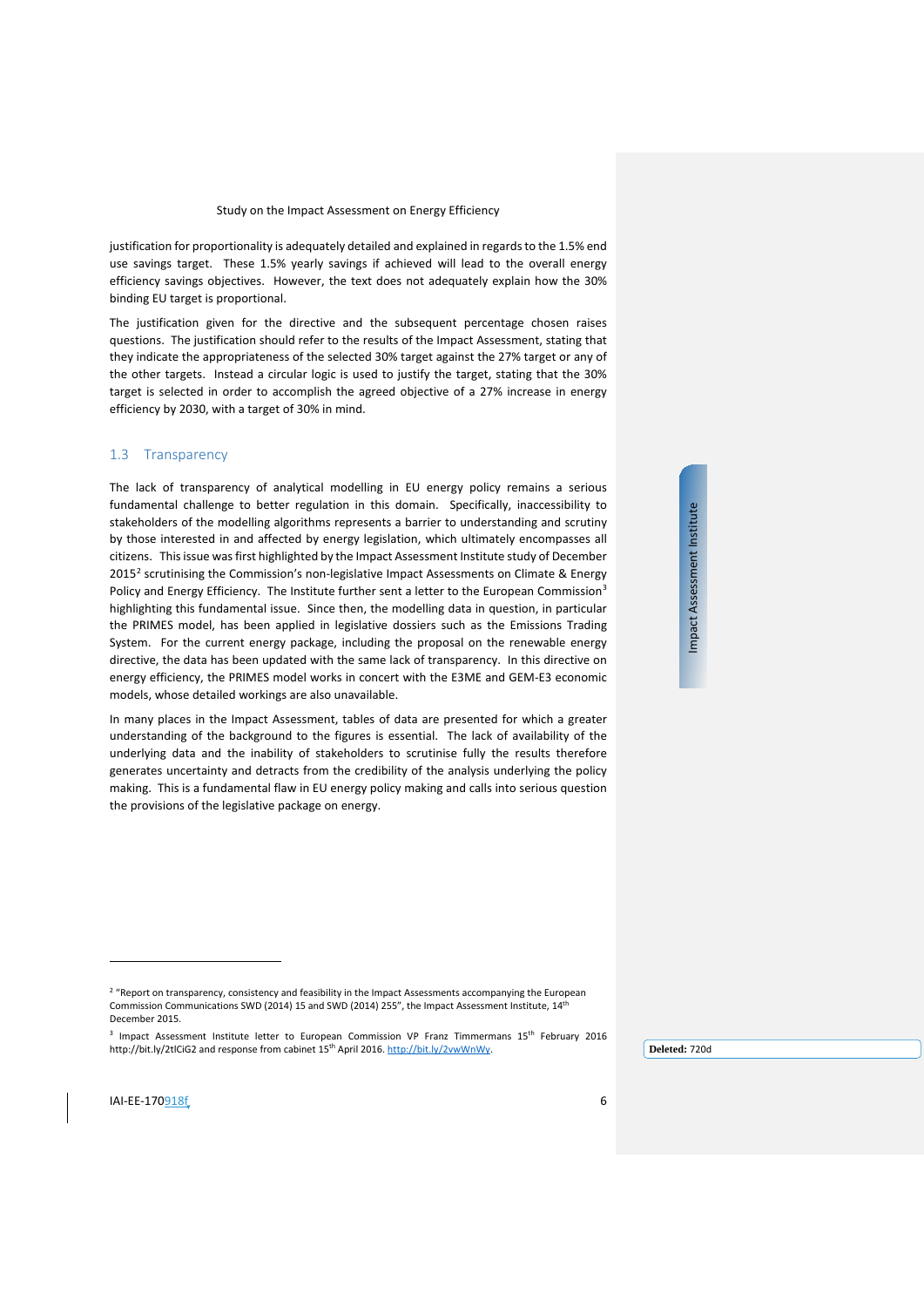justification for proportionality is adequately detailed and explained in regards to the 1.5% end use savings target. These 1.5% yearly savings if achieved will lead to the overall energy efficiency savings objectives. However, the text does not adequately explain how the 30% binding EU target is proportional.

The justification given for the directive and the subsequent percentage chosen raises questions. The justification should refer to the results of the Impact Assessment, stating that they indicate the appropriateness of the selected 30% target against the 27% target or any of the other targets. Instead a circular logic is used to justify the target, stating that the 30% target is selected in order to accomplish the agreed objective of a 27% increase in energy efficiency by 2030, with a target of 30% in mind.

#### <span id="page-5-0"></span>1.3 Transparency

The lack of transparency of analytical modelling in EU energy policy remains a serious fundamental challenge to better regulation in this domain. Specifically, inaccessibility to stakeholders of the modelling algorithms represents a barrier to understanding and scrutiny by those interested in and affected by energy legislation, which ultimately encompasses all citizens. This issue was first highlighted by the Impact Assessment Institute study of December  $2015<sup>2</sup>$  $2015<sup>2</sup>$  scrutinising the Commission's non-legislative Impact Assessments on Climate & Energy Policy and Energy Efficiency. The Institute further sent a letter to the European Commission<sup>3</sup> highlighting this fundamental issue. Since then, the modelling data in question, in particular the PRIMES model, has been applied in legislative dossiers such as the Emissions Trading System. For the current energy package, including the proposal on the renewable energy directive, the data has been updated with the same lack of transparency. In this directive on energy efficiency, the PRIMES model works in concert with the E3ME and GEM-E3 economic models, whose detailed workings are also unavailable.

In many places in the Impact Assessment, tables of data are presented for which a greater understanding of the background to the figures is essential. The lack of availability of the underlying data and the inability of stakeholders to scrutinise fully the results therefore generates uncertainty and detracts from the credibility of the analysis underlying the policy making. This is a fundamental flaw in EU energy policy making and calls into serious question the provisions of the legislative package on energy.

Impact Assessment Institute Impact Assessment Institute

j

<sup>&</sup>lt;sup>2</sup> "Report on transparency, consistency and feasibility in the Impact Assessments accompanying the European Commission Communications SWD (2014) 15 and SWD (2014) 255", the Impact Assessment Institute, 14th December 2015.

<span id="page-5-2"></span><span id="page-5-1"></span><sup>&</sup>lt;sup>3</sup> Impact Assessment Institute letter to European Commission VP Franz Timmermans 15<sup>th</sup> February 2016 http://bit.ly/2tlCiG2 and response from cabinet 15th April 2016. [http://bit.ly/2vwWnWy.](http://bit.ly/2vwWnWy)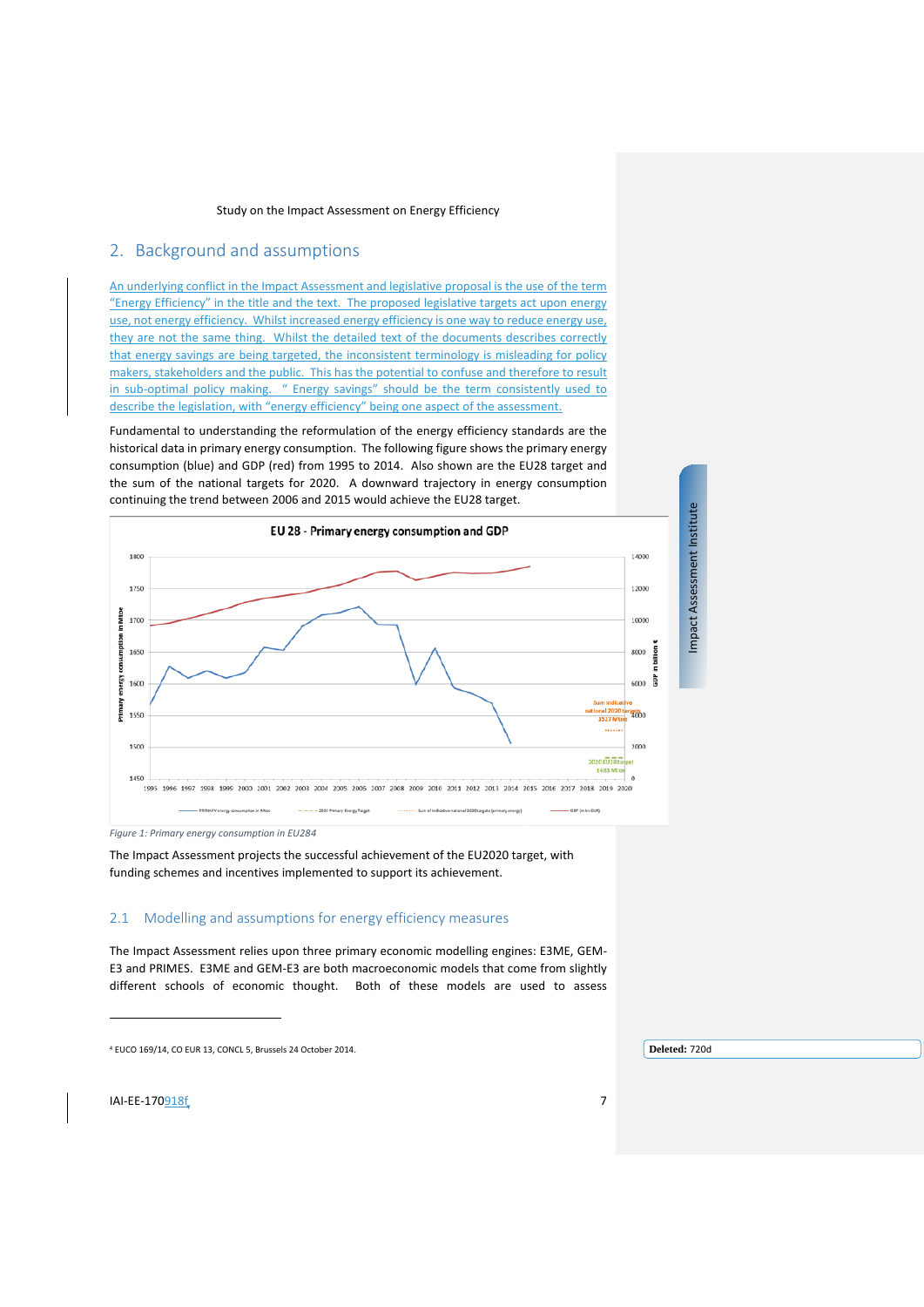# <span id="page-6-0"></span>2. Background and assumptions

An underlying conflict in the Impact Assessment and legislative proposal is the use of the term "Energy Efficiency" in the title and the text. The proposed legislative targets act upon energy use, not energy efficiency. Whilst increased energy efficiency is one way to reduce energy use, they are not the same thing. Whilst the detailed text of the documents describes correctly that energy savings are being targeted, the inconsistent terminology is misleading for policy makers, stakeholders and the public. This has the potential to confuse and therefore to result in sub-optimal policy making. " Energy savings" should be the term consistently used to describe the legislation, with "energy efficiency" being one aspect of the assessment.

Fundamental to understanding the reformulation of the energy efficiency standards are the historical data in primary energy consumption. The following figure shows the primary energy consumption (blue) and GDP (red) from 1995 to 2014. Also shown are the EU28 target and the sum of the national targets for 2020. A downward trajectory in energy consumption continuing the trend between 2006 and 2015 would achieve the EU28 target.



*Figure 1: Primary energy consumption in EU2[84](#page-6-2)*

The Impact Assessment projects the successful achievement of the EU2020 target, with funding schemes and incentives implemented to support its achievement.

## <span id="page-6-1"></span>2.1 Modelling and assumptions for energy efficiency measures

The Impact Assessment relies upon three primary economic modelling engines: E3ME, GEM-E3 and PRIMES. E3ME and GEM-E3 are both macroeconomic models that come from slightly different schools of economic thought. Both of these models are used to assess

**Deleted:** 720d

<span id="page-6-2"></span>**IAI-EE-170**918f 7

 $\overline{a}$ 

<sup>4</sup> EUCO 169/14, CO EUR 13, CONCL 5, Brussels 24 October 2014.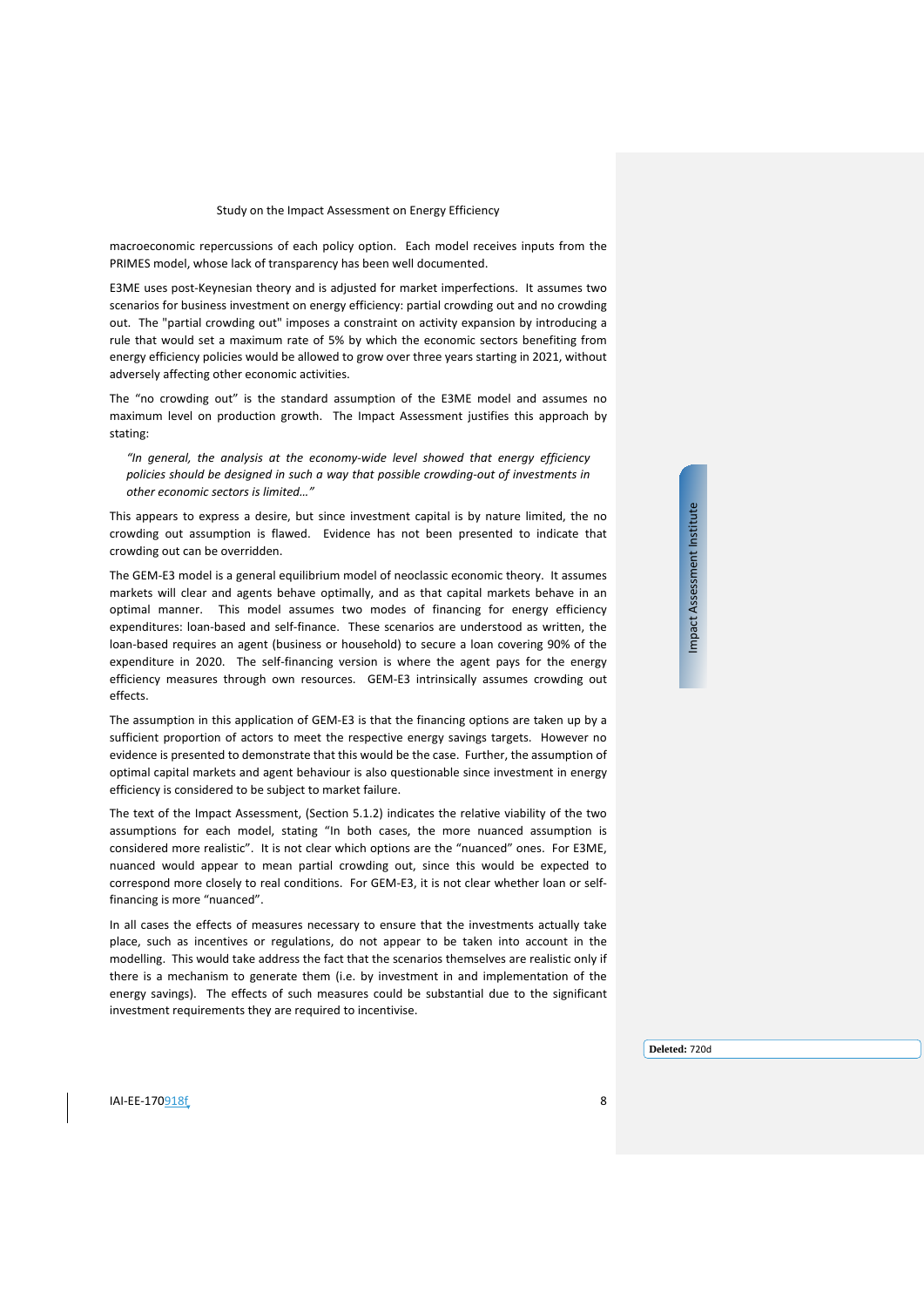macroeconomic repercussions of each policy option. Each model receives inputs from the PRIMES model, whose lack of transparency has been well documented.

E3ME uses post-Keynesian theory and is adjusted for market imperfections. It assumes two scenarios for business investment on energy efficiency: partial crowding out and no crowding out. The "partial crowding out" imposes a constraint on activity expansion by introducing a rule that would set a maximum rate of 5% by which the economic sectors benefiting from energy efficiency policies would be allowed to grow over three years starting in 2021, without adversely affecting other economic activities.

The "no crowding out" is the standard assumption of the E3ME model and assumes no maximum level on production growth. The Impact Assessment justifies this approach by stating:

*"In general, the analysis at the economy-wide level showed that energy efficiency policies should be designed in such a way that possible crowding-out of investments in other economic sectors is limited…"*

This appears to express a desire, but since investment capital is by nature limited, the no crowding out assumption is flawed. Evidence has not been presented to indicate that crowding out can be overridden.

The GEM-E3 model is a general equilibrium model of neoclassic economic theory. It assumes markets will clear and agents behave optimally, and as that capital markets behave in an optimal manner. This model assumes two modes of financing for energy efficiency expenditures: loan-based and self-finance. These scenarios are understood as written, the loan-based requires an agent (business or household) to secure a loan covering 90% of the expenditure in 2020. The self-financing version is where the agent pays for the energy efficiency measures through own resources. GEM-E3 intrinsically assumes crowding out effects.

The assumption in this application of GEM-E3 is that the financing options are taken up by a sufficient proportion of actors to meet the respective energy savings targets. However no evidence is presented to demonstrate that this would be the case. Further, the assumption of optimal capital markets and agent behaviour is also questionable since investment in energy efficiency is considered to be subject to market failure.

The text of the Impact Assessment, (Section 5.1.2) indicates the relative viability of the two assumptions for each model, stating "In both cases, the more nuanced assumption is considered more realistic". It is not clear which options are the "nuanced" ones. For E3ME, nuanced would appear to mean partial crowding out, since this would be expected to correspond more closely to real conditions. For GEM-E3, it is not clear whether loan or selffinancing is more "nuanced".

In all cases the effects of measures necessary to ensure that the investments actually take place, such as incentives or regulations, do not appear to be taken into account in the modelling. This would take address the fact that the scenarios themselves are realistic only if there is a mechanism to generate them (i.e. by investment in and implementation of the energy savings). The effects of such measures could be substantial due to the significant investment requirements they are required to incentivise.

Impact Assessment Institute Impact Assessment Institute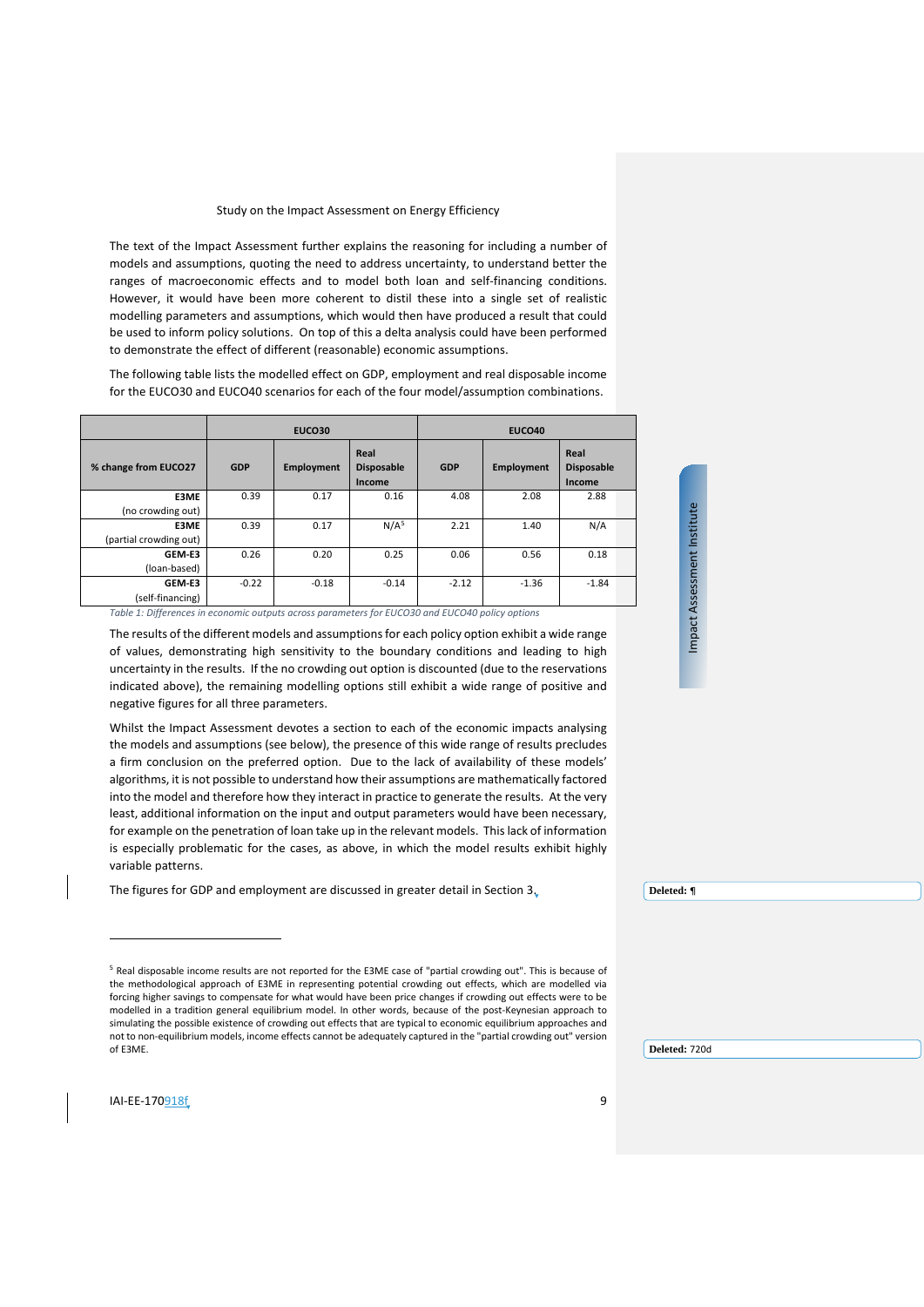The text of the Impact Assessment further explains the reasoning for including a number of models and assumptions, quoting the need to address uncertainty, to understand better the ranges of macroeconomic effects and to model both loan and self-financing conditions. However, it would have been more coherent to distil these into a single set of realistic modelling parameters and assumptions, which would then have produced a result that could be used to inform policy solutions. On top of this a delta analysis could have been performed to demonstrate the effect of different (reasonable) economic assumptions.

The following table lists the modelled effect on GDP, employment and real disposable income for the EUCO30 and EUCO40 scenarios for each of the four model/assumption combinations.

|                        |            | EUCO30     |                                     |            | <b>EUCO40</b>     |                                     |  |
|------------------------|------------|------------|-------------------------------------|------------|-------------------|-------------------------------------|--|
| % change from EUCO27   | <b>GDP</b> | Employment | Real<br><b>Disposable</b><br>Income | <b>GDP</b> | <b>Employment</b> | Real<br><b>Disposable</b><br>Income |  |
| E3ME                   | 0.39       | 0.17       | 0.16                                | 4.08       | 2.08              | 2.88                                |  |
| (no crowding out)      |            |            |                                     |            |                   |                                     |  |
| E3ME                   | 0.39       | 0.17       | N/A <sup>5</sup>                    | 2.21       | 1.40              | N/A                                 |  |
| (partial crowding out) |            |            |                                     |            |                   |                                     |  |
| GEM-E3                 | 0.26       | 0.20       | 0.25                                | 0.06       | 0.56              | 0.18                                |  |
| (loan-based)           |            |            |                                     |            |                   |                                     |  |
| GEM-E3                 | $-0.22$    | $-0.18$    | $-0.14$                             | $-2.12$    | $-1.36$           | $-1.84$                             |  |
| (self-financing)       |            |            |                                     |            |                   |                                     |  |

*Table 1: Differences in economic outputs across parameters for EUCO30 and EUCO40 policy options*

The results of the different models and assumptions for each policy option exhibit a wide range of values, demonstrating high sensitivity to the boundary conditions and leading to high uncertainty in the results. If the no crowding out option is discounted (due to the reservations indicated above), the remaining modelling options still exhibit a wide range of positive and negative figures for all three parameters.

Whilst the Impact Assessment devotes a section to each of the economic impacts analysing the models and assumptions (see below), the presence of this wide range of results precludes a firm conclusion on the preferred option. Due to the lack of availability of these models' algorithms, it is not possible to understand how their assumptions are mathematically factored into the model and therefore how they interact in practice to generate the results. At the very least, additional information on the input and output parameters would have been necessary, for example on the penetration of loan take up in the relevant models. This lack of information is especially problematic for the cases, as above, in which the model results exhibit highly variable patterns.

The figures for GDP and employment are discussed in greater detail in Section [3.](#page-9-0)

**Deleted:** ¶

Impact Assessment Institute Impact Assessment Institute

j

<span id="page-8-0"></span><sup>5</sup> Real disposable income results are not reported for the E3ME case of "partial crowding out". This is because of the methodological approach of E3ME in representing potential crowding out effects, which are modelled via forcing higher savings to compensate for what would have been price changes if crowding out effects were to be modelled in a tradition general equilibrium model. In other words, because of the post-Keynesian approach to simulating the possible existence of crowding out effects that are typical to economic equilibrium approaches and not to non-equilibrium models, income effects cannot be adequately captured in the "partial crowding out" version of E3ME.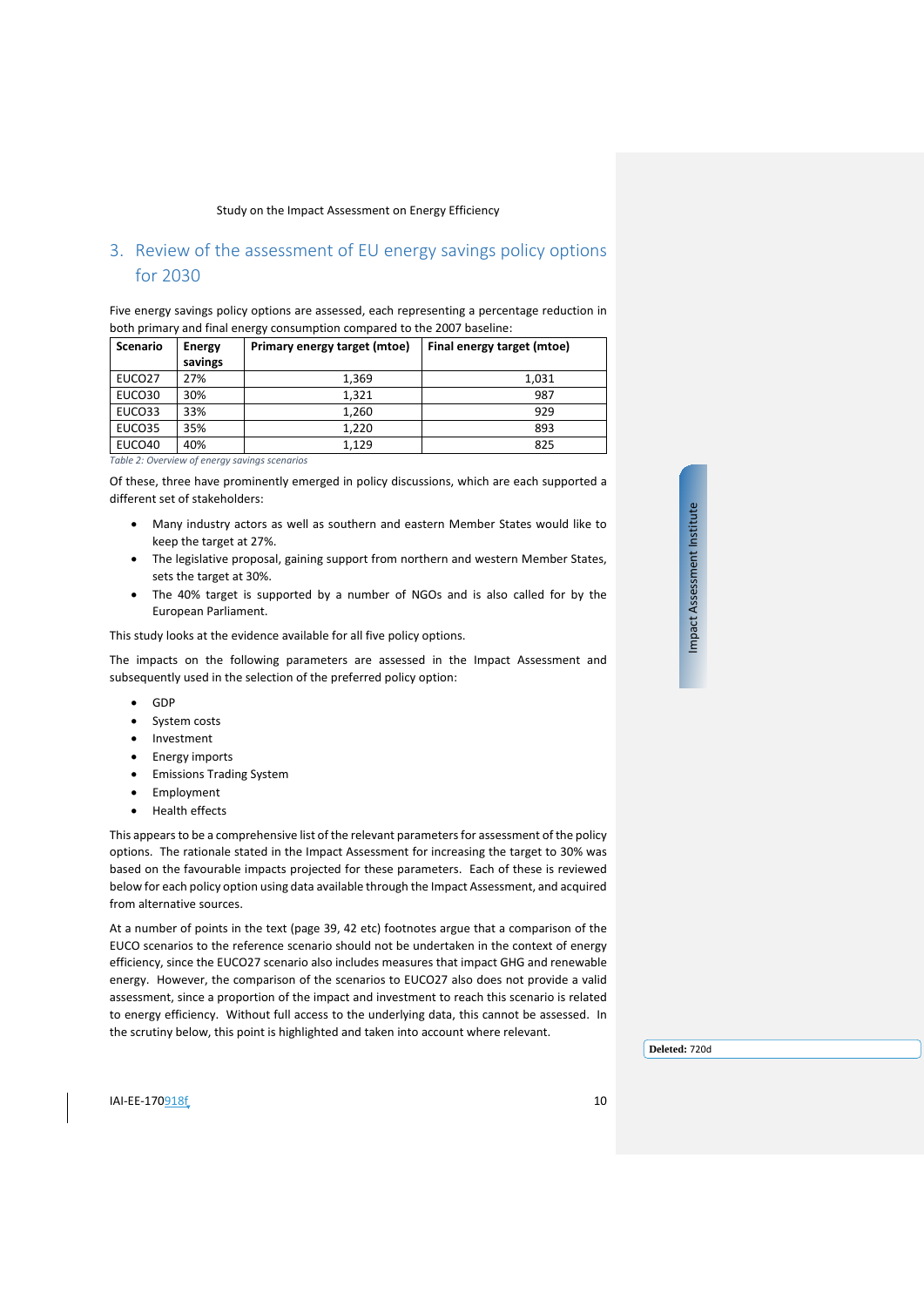# <span id="page-9-0"></span>3. Review of the assessment of EU energy savings policy options for 2030

Five energy savings policy options are assessed, each representing a percentage reduction in both primary and final energy consumption compared to the 2007 baseline:

| <b>Scenario</b>    | Energy<br>savings | Primary energy target (mtoe) | Final energy target (mtoe) |
|--------------------|-------------------|------------------------------|----------------------------|
| EUCO <sub>27</sub> | 27%               | 1.369                        | 1,031                      |
| EUCO30             | 30%               | 1,321                        | 987                        |
| EUCO33             | 33%               | 1,260                        | 929                        |
| EUCO35             | 35%               | 1,220                        | 893                        |
| EUCO40             | 40%               | 1,129                        | 825                        |

*Table 2: Overview of energy savings scenarios*

Of these, three have prominently emerged in policy discussions, which are each supported a different set of stakeholders:

- Many industry actors as well as southern and eastern Member States would like to keep the target at 27%.
- The legislative proposal, gaining support from northern and western Member States, sets the target at 30%.
- The 40% target is supported by a number of NGOs and is also called for by the European Parliament.

This study looks at the evidence available for all five policy options.

The impacts on the following parameters are assessed in the Impact Assessment and subsequently used in the selection of the preferred policy option:

- GDP
- System costs
- Investment
- Energy imports
- Emissions Trading System
- **Employment**
- Health effects

This appears to be a comprehensive list of the relevant parameters for assessment of the policy options. The rationale stated in the Impact Assessment for increasing the target to 30% was based on the favourable impacts projected for these parameters. Each of these is reviewed below for each policy option using data available through the Impact Assessment, and acquired from alternative sources.

At a number of points in the text (page 39, 42 etc) footnotes argue that a comparison of the EUCO scenarios to the reference scenario should not be undertaken in the context of energy efficiency, since the EUCO27 scenario also includes measures that impact GHG and renewable energy. However, the comparison of the scenarios to EUCO27 also does not provide a valid assessment, since a proportion of the impact and investment to reach this scenario is related to energy efficiency. Without full access to the underlying data, this cannot be assessed. In the scrutiny below, this point is highlighted and taken into account where relevant.

Impact Assessment Institute Impact Assessment Institute

**Deleted:** 720d

 $I = 170918f$  10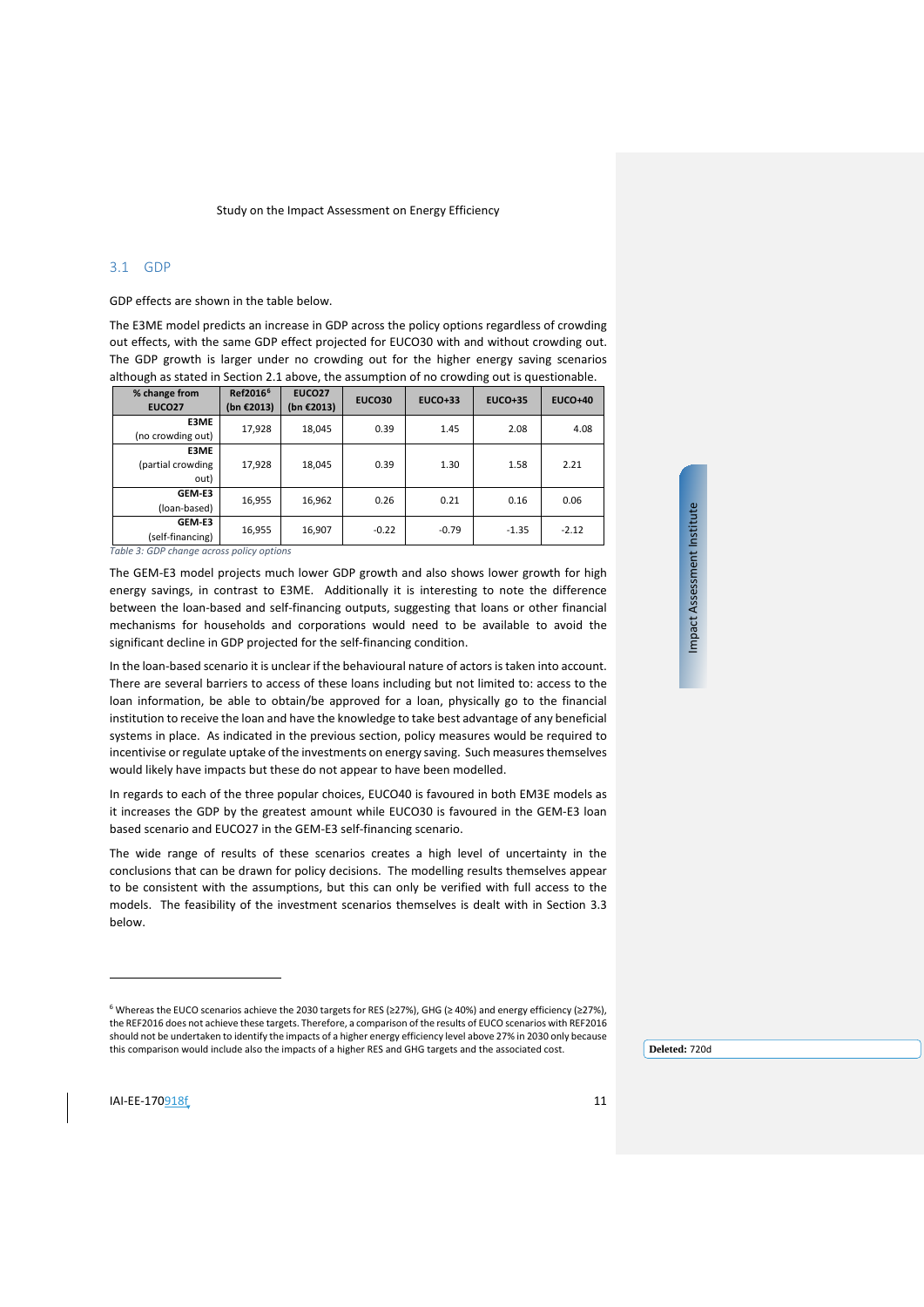## <span id="page-10-0"></span>3.1 GDP

GDP effects are shown in the table below.

The E3ME model predicts an increase in GDP across the policy options regardless of crowding out effects, with the same GDP effect projected for EUCO30 with and without crowding out. The GDP growth is larger under no crowding out for the higher energy saving scenarios although as stated in Sectio[n 2.1](#page-6-1) above, the assumption of no crowding out is questionable.

| % change from<br><b>EUCO27</b>    | Ref2016 <sup>6</sup><br>(bn €2013) | <b>EUCO27</b><br>(bn €2013) | <b>EUCO30</b> | <b>EUCO+33</b> | <b>EUCO+35</b> | <b>EUCO+40</b> |
|-----------------------------------|------------------------------------|-----------------------------|---------------|----------------|----------------|----------------|
| E3ME<br>(no crowding out)         | 17,928                             | 18,045                      | 0.39          | 1.45           | 2.08           | 4.08           |
| E3ME<br>(partial crowding<br>out) | 17,928                             | 18,045                      | 0.39          | 1.30           | 1.58           | 2.21           |
| GEM-E3<br>(loan-based)            | 16,955                             | 16,962                      | 0.26          | 0.21           | 0.16           | 0.06           |
| GEM-E3<br>(self-financing)        | 16,955                             | 16,907                      | $-0.22$       | $-0.79$        | $-1.35$        | $-2.12$        |

*Table 3: GDP change across policy options*

The GEM-E3 model projects much lower GDP growth and also shows lower growth for high energy savings, in contrast to E3ME. Additionally it is interesting to note the difference between the loan-based and self-financing outputs, suggesting that loans or other financial mechanisms for households and corporations would need to be available to avoid the significant decline in GDP projected for the self-financing condition.

In the loan-based scenario it is unclear if the behavioural nature of actors is taken into account. There are several barriers to access of these loans including but not limited to: access to the loan information, be able to obtain/be approved for a loan, physically go to the financial institution to receive the loan and have the knowledge to take best advantage of any beneficial systems in place. As indicated in the previous section, policy measures would be required to incentivise or regulate uptake of the investments on energy saving. Such measures themselves would likely have impacts but these do not appear to have been modelled.

In regards to each of the three popular choices, EUCO40 is favoured in both EM3E models as it increases the GDP by the greatest amount while EUCO30 is favoured in the GEM-E3 loan based scenario and EUCO27 in the GEM-E3 self-financing scenario.

The wide range of results of these scenarios creates a high level of uncertainty in the conclusions that can be drawn for policy decisions. The modelling results themselves appear to be consistent with the assumptions, but this can only be verified with full access to the models. The feasibility of the investment scenarios themselves is dealt with in Section [3.3](#page-12-0) below.

Impact Assessment Institute Impact Assessment Institute

 $\overline{a}$ 

<span id="page-10-1"></span><sup>6</sup> Whereas the EUCO scenarios achieve the 2030 targets for RES (≥27%), GHG (≥ 40%) and energy efficiency (≥27%), the REF2016 does not achieve these targets. Therefore, a comparison of the results of EUCO scenarios with REF2016 should not be undertaken to identify the impacts of a higher energy efficiency level above 27% in 2030 only because this comparison would include also the impacts of a higher RES and GHG targets and the associated cost.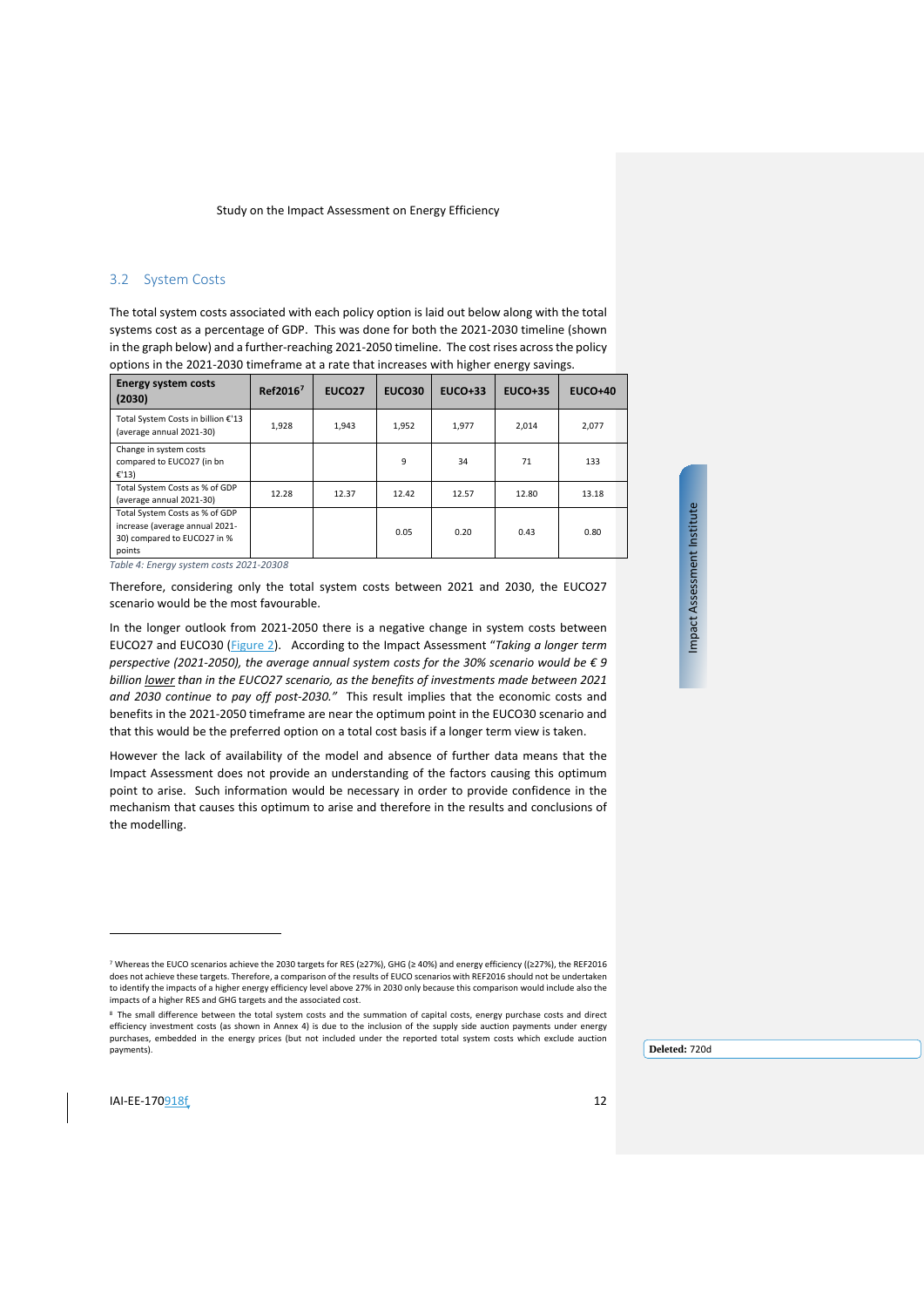## <span id="page-11-0"></span>3.2 System Costs

The total system costs associated with each policy option is laid out below along with the total systems cost as a percentage of GDP. This was done for both the 2021-2030 timeline (shown in the graph below) and a further-reaching 2021-2050 timeline. The cost rises across the policy options in the 2021-2030 timeframe at a rate that increases with higher energy savings.

| <b>Energy system costs</b><br>(2030)                                                                      | Ref2016 <sup>7</sup> | EUCO <sub>27</sub> | <b>EUCO30</b> | $EUCO+33$ | <b>EUCO+35</b> | <b>EUCO+40</b> |
|-----------------------------------------------------------------------------------------------------------|----------------------|--------------------|---------------|-----------|----------------|----------------|
| Total System Costs in billion €'13<br>(average annual 2021-30)                                            | 1,928                | 1,943              | 1,952         | 1,977     | 2.014          | 2,077          |
| Change in system costs<br>compared to EUCO27 (in bn<br>E'13                                               |                      |                    | 9             | 34        | 71             | 133            |
| Total System Costs as % of GDP<br>(average annual 2021-30)                                                | 12.28                | 12.37              | 12.42         | 12.57     | 12.80          | 13.18          |
| Total System Costs as % of GDP<br>increase (average annual 2021-<br>30) compared to EUCO27 in %<br>points |                      |                    | 0.05          | 0.20      | 0.43           | 0.80           |

*Table 4: Energy system costs 2021-203[08](#page-11-2)*

Therefore, considering only the total system costs between 2021 and 2030, the EUCO27 scenario would be the most favourable.

In the longer outlook from 2021-2050 there is a negative change in system costs between EUCO27 and EUCO30 [\(Figure 2\)](#page-12-1). According to the Impact Assessment "*Taking a longer term perspective (2021-2050), the average annual system costs for the 30% scenario would be € 9 billion lower than in the EUCO27 scenario, as the benefits of investments made between 2021 and 2030 continue to pay off post-2030."* This result implies that the economic costs and benefits in the 2021-2050 timeframe are near the optimum point in the EUCO30 scenario and that this would be the preferred option on a total cost basis if a longer term view is taken.

However the lack of availability of the model and absence of further data means that the Impact Assessment does not provide an understanding of the factors causing this optimum point to arise. Such information would be necessary in order to provide confidence in the mechanism that causes this optimum to arise and therefore in the results and conclusions of the modelling.

Impact Assessment Institute Impact Assessment Institute

 $\overline{a}$ 

<sup>7</sup> Whereas the EUCO scenarios achieve the 2030 targets for RES (≥27%), GHG (≥ 40%) and energy efficiency ((≥27%), the REF2016 does not achieve these targets. Therefore, a comparison of the results of EUCO scenarios with REF2016 should not be undertaken to identify the impacts of a higher energy efficiency level above 27% in 2030 only because this comparison would include also the impacts of a higher RES and GHG targets and the associated cost.

<span id="page-11-2"></span><span id="page-11-1"></span><sup>8</sup> The small difference between the total system costs and the summation of capital costs, energy purchase costs and direct efficiency investment costs (as shown in Annex 4) is due to the inclusion of the supply side auction payments under energy purchases, embedded in the energy prices (but not included under the reported total system costs which exclude auction payments).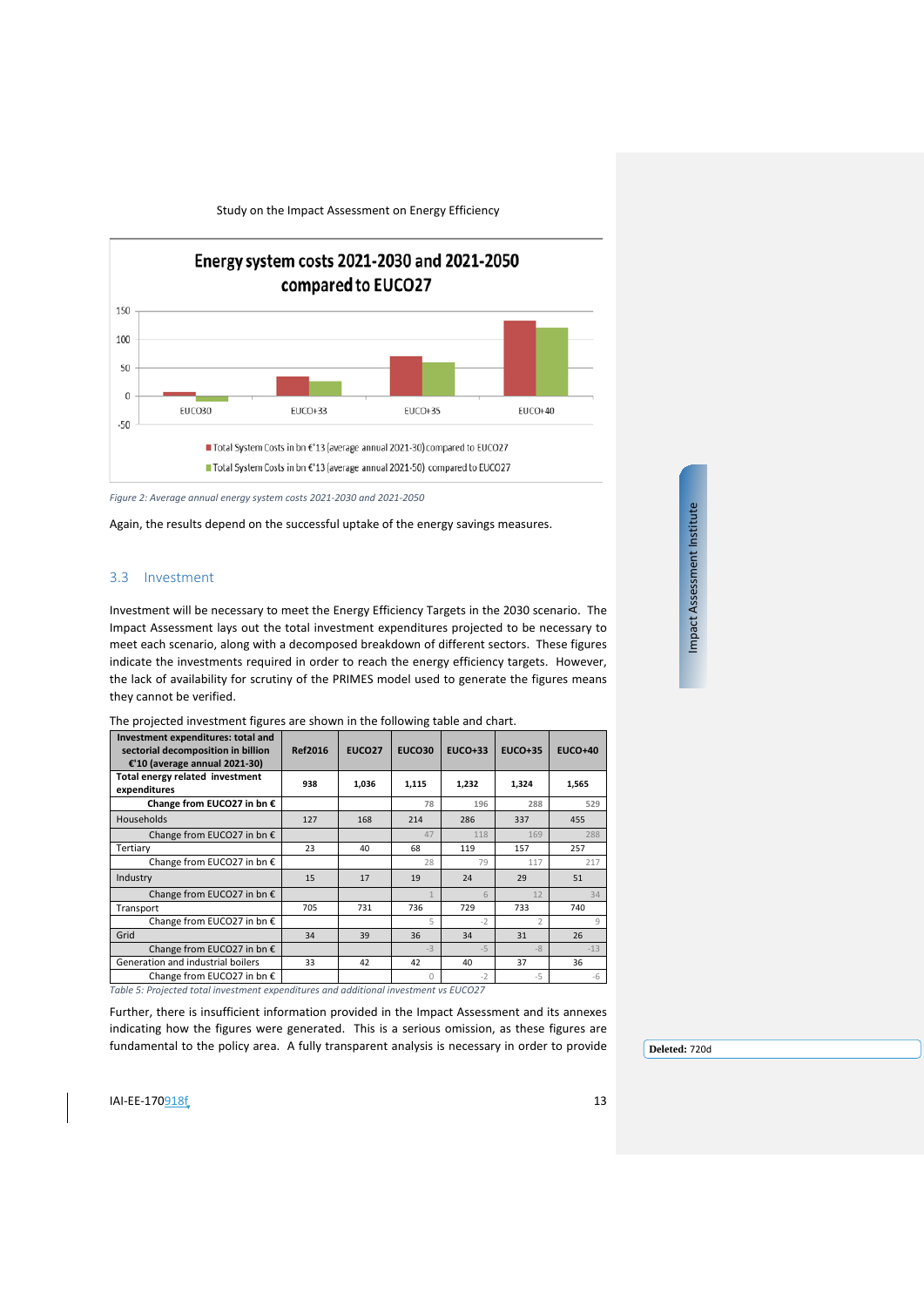

<span id="page-12-1"></span>*Figure 2: Average annual energy system costs 2021-2030 and 2021-2050*

Again, the results depend on the successful uptake of the energy savings measures.

#### <span id="page-12-0"></span>3.3 Investment

Investment will be necessary to meet the Energy Efficiency Targets in the 2030 scenario. The Impact Assessment lays out the total investment expenditures projected to be necessary to meet each scenario, along with a decomposed breakdown of different sectors. These figures indicate the investments required in order to reach the energy efficiency targets. However, the lack of availability for scrutiny of the PRIMES model used to generate the figures means they cannot be verified.

The projected investment figures are shown in the following table and chart.

| Investment expenditures: total and<br>sectorial decomposition in billion<br>€'10 (average annual 2021-30)                                          | <b>Ref2016</b> | <b>EUCO27</b> | <b>EUCO30</b> | $EUCO+33$ | $EUCO+35$      | <b>EUCO+40</b> |
|----------------------------------------------------------------------------------------------------------------------------------------------------|----------------|---------------|---------------|-----------|----------------|----------------|
| Total energy related investment<br>expenditures                                                                                                    | 938            | 1,036         | 1,115         | 1,232     | 1,324          | 1,565          |
| Change from EUCO27 in bn €                                                                                                                         |                |               | 78            | 196       | 288            | 529            |
| Households                                                                                                                                         | 127            | 168           | 214           | 286       | 337            | 455            |
| Change from EUCO27 in bn $\epsilon$                                                                                                                |                |               | 47            | 118       | 169            | 288            |
| Tertiary                                                                                                                                           | 23             | 40            | 68            | 119       | 157            | 257            |
| Change from EUCO27 in bn €                                                                                                                         |                |               | 28            | 79        | 117            | 217            |
| Industry                                                                                                                                           | 15             | 17            | 19            | 24        | 29             | 51             |
| Change from EUCO27 in bn €                                                                                                                         |                |               |               | 6         | 12             | 34             |
| Transport                                                                                                                                          | 705            | 731           | 736           | 729       | 733            | 740            |
| Change from EUCO27 in bn €                                                                                                                         |                |               | 5             | $-2$      | $\overline{2}$ | 9              |
| Grid                                                                                                                                               | 34             | 39            | 36            | 34        | 31             | 26             |
| Change from EUCO27 in bn €                                                                                                                         |                |               | $-3$          | $-5$      | $-8$           | $-13$          |
| Generation and industrial boilers                                                                                                                  | 33             | 42            | 42            | 40        | 37             | 36             |
| Change from EUCO27 in bn €                                                                                                                         |                |               |               | $-2$      | $-5$           | -6             |
| $\tau$ , but $\tau$ , the contract of contraction and contract and and set of the contraction of $\tau$ , $\tau$ ( $\tau$ $\alpha$ $\gamma$ $\tau$ |                |               |               |           |                |                |

*Table 5: Projected total investment expenditures and additional investment vs EUCO27*

Further, there is insufficient information provided in the Impact Assessment and its annexes indicating how the figures were generated. This is a serious omission, as these figures are fundamental to the policy area. A fully transparent analysis is necessary in order to provide

**Deleted:** 720d

 $IAI-EE-170918f$  13

Impact Assessment Institute Impact Assessment Institute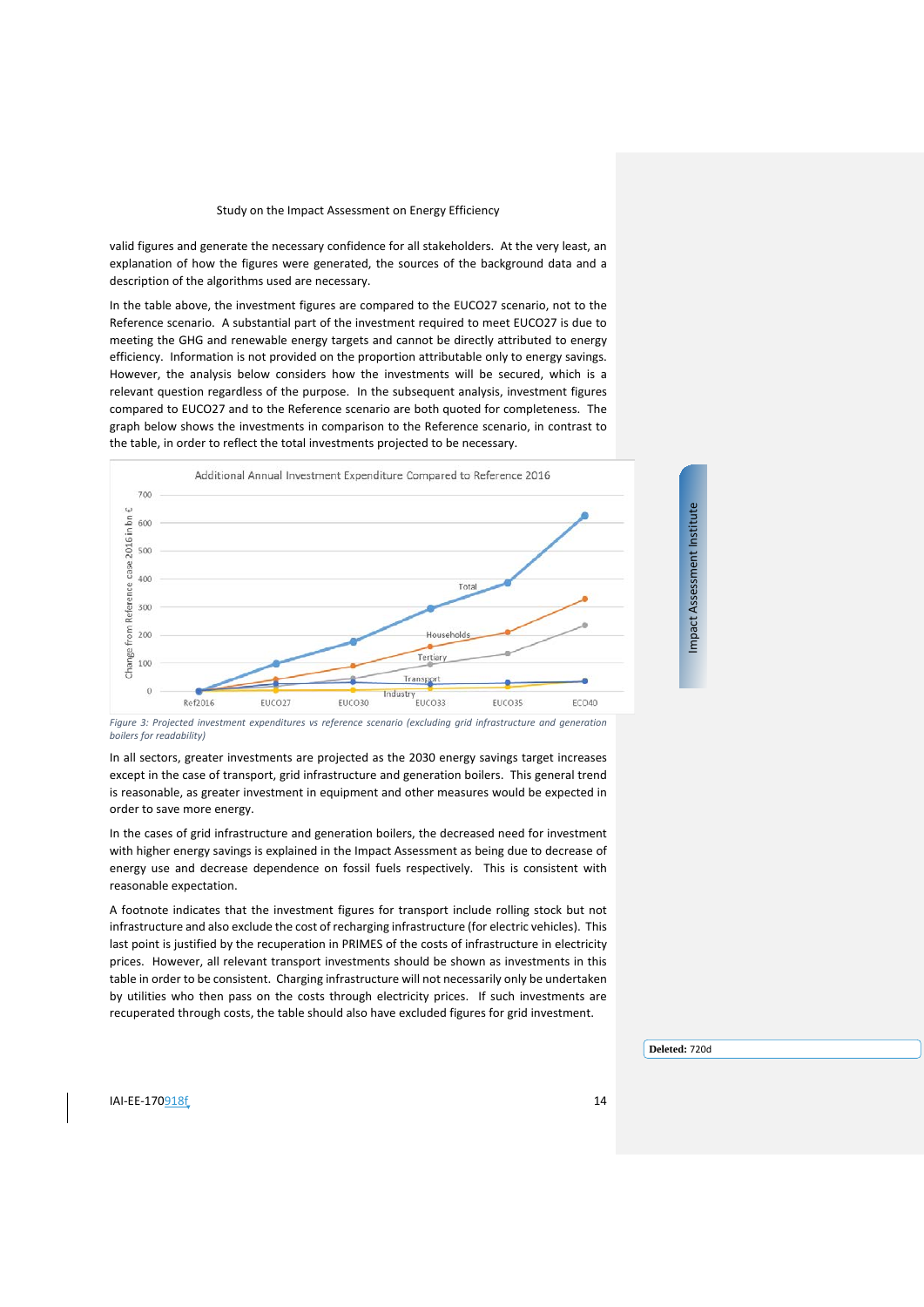valid figures and generate the necessary confidence for all stakeholders. At the very least, an explanation of how the figures were generated, the sources of the background data and a description of the algorithms used are necessary.

In the table above, the investment figures are compared to the EUCO27 scenario, not to the Reference scenario. A substantial part of the investment required to meet EUCO27 is due to meeting the GHG and renewable energy targets and cannot be directly attributed to energy efficiency. Information is not provided on the proportion attributable only to energy savings. However, the analysis below considers how the investments will be secured, which is a relevant question regardless of the purpose. In the subsequent analysis, investment figures compared to EUCO27 and to the Reference scenario are both quoted for completeness. The graph below shows the investments in comparison to the Reference scenario, in contrast to the table, in order to reflect the total investments projected to be necessary.



*Figure 3: Projected investment expenditures vs reference scenario (excluding grid infrastructure and generation boilers for readability)*

In all sectors, greater investments are projected as the 2030 energy savings target increases except in the case of transport, grid infrastructure and generation boilers. This general trend is reasonable, as greater investment in equipment and other measures would be expected in order to save more energy.

In the cases of grid infrastructure and generation boilers, the decreased need for investment with higher energy savings is explained in the Impact Assessment as being due to decrease of energy use and decrease dependence on fossil fuels respectively. This is consistent with reasonable expectation.

A footnote indicates that the investment figures for transport include rolling stock but not infrastructure and also exclude the cost of recharging infrastructure (for electric vehicles). This last point is justified by the recuperation in PRIMES of the costs of infrastructure in electricity prices. However, all relevant transport investments should be shown as investments in this table in order to be consistent. Charging infrastructure will not necessarily only be undertaken by utilities who then pass on the costs through electricity prices. If such investments are recuperated through costs, the table should also have excluded figures for grid investment.

**Deleted:** 720d

Impact Assessment Institute

Impact Assessment Institute

**IAI-EE-170**918f 14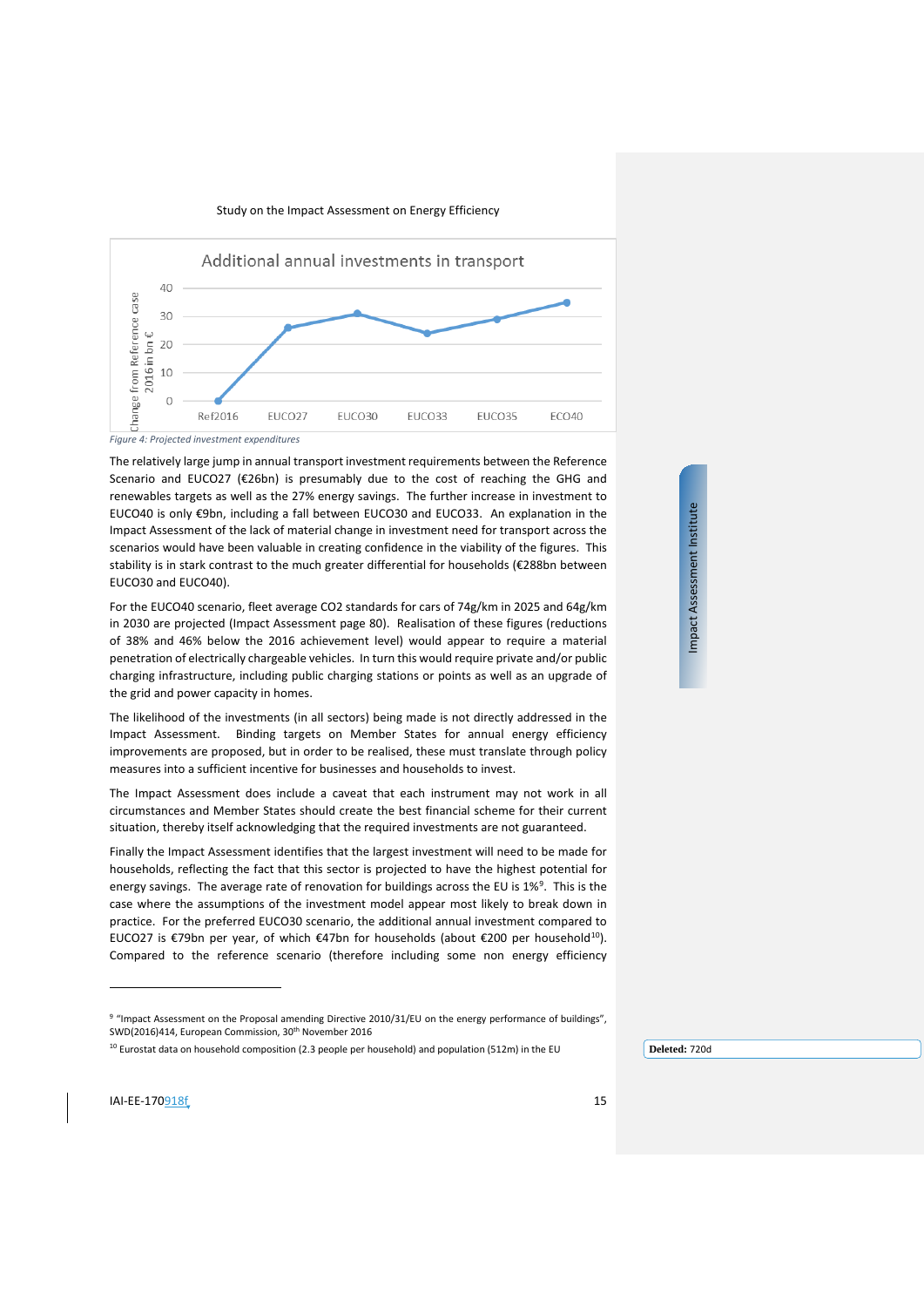



*Figure 4: Projected investment expenditures*

The relatively large jump in annual transport investment requirements between the Reference Scenario and EUCO27 (€26bn) is presumably due to the cost of reaching the GHG and renewables targets as well as the 27% energy savings. The further increase in investment to EUCO40 is only €9bn, including a fall between EUCO30 and EUCO33. An explanation in the Impact Assessment of the lack of material change in investment need for transport across the scenarios would have been valuable in creating confidence in the viability of the figures. This stability is in stark contrast to the much greater differential for households (€288bn between EUCO30 and EUCO40).

For the EUCO40 scenario, fleet average CO2 standards for cars of 74g/km in 2025 and 64g/km in 2030 are projected (Impact Assessment page 80). Realisation of these figures (reductions of 38% and 46% below the 2016 achievement level) would appear to require a material penetration of electrically chargeable vehicles. In turn this would require private and/or public charging infrastructure, including public charging stations or points as well as an upgrade of the grid and power capacity in homes.

The likelihood of the investments (in all sectors) being made is not directly addressed in the Impact Assessment. Binding targets on Member States for annual energy efficiency improvements are proposed, but in order to be realised, these must translate through policy measures into a sufficient incentive for businesses and households to invest.

The Impact Assessment does include a caveat that each instrument may not work in all circumstances and Member States should create the best financial scheme for their current situation, thereby itself acknowledging that the required investments are not guaranteed.

Finally the Impact Assessment identifies that the largest investment will need to be made for households, reflecting the fact that this sector is projected to have the highest potential for energy savings. The average rate of renovation for buildings across the EU is 1%<sup>[9](#page-14-0)</sup>. This is the case where the assumptions of the investment model appear most likely to break down in practice. For the preferred EUCO30 scenario, the additional annual investment compared to EUCO27 is €79bn per year, of which €47bn for households (about €200 per household<sup>10</sup>). Compared to the reference scenario (therefore including some non energy efficiency Impact Assessment Institute Impact Assessment Institute

j

<sup>9 &</sup>quot;Impact Assessment on the Proposal amending Directive 2010/31/EU on the energy performance of buildings", SWD(2016)414, European Commission, 30<sup>th</sup> November 2016

<span id="page-14-1"></span><span id="page-14-0"></span> $10$  Eurostat data on household composition (2.3 people per household) and population (512m) in the EU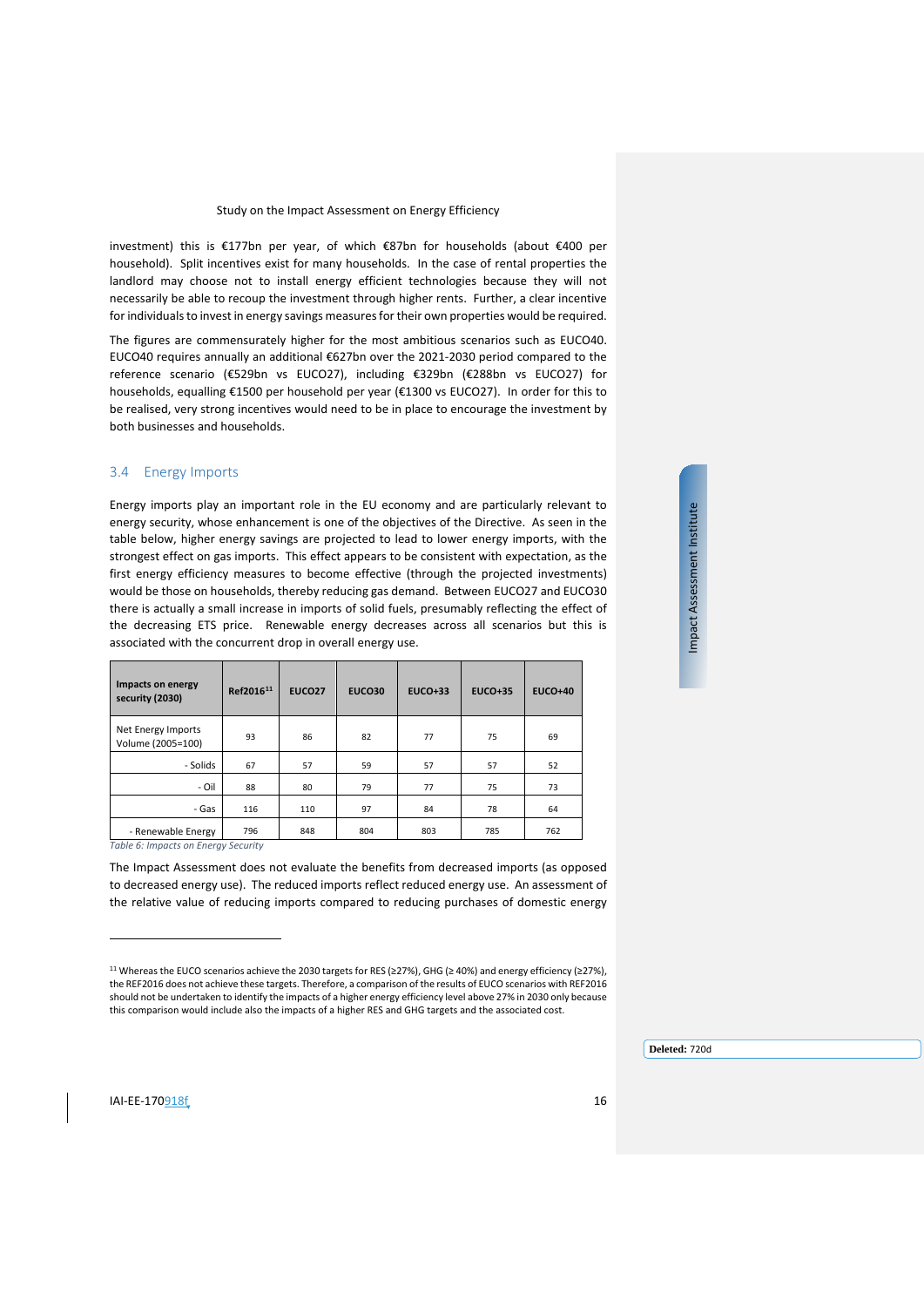investment) this is €177bn per year, of which €87bn for households (about €400 per household). Split incentives exist for many households. In the case of rental properties the landlord may choose not to install energy efficient technologies because they will not necessarily be able to recoup the investment through higher rents. Further, a clear incentive for individuals to invest in energy savings measures for their own properties would be required.

The figures are commensurately higher for the most ambitious scenarios such as EUCO40. EUCO40 requires annually an additional €627bn over the 2021-2030 period compared to the reference scenario (€529bn vs EUCO27), including €329bn (€288bn vs EUCO27) for households, equalling €1500 per household per year (€1300 vs EUCO27). In order for this to be realised, very strong incentives would need to be in place to encourage the investment by both businesses and households.

#### <span id="page-15-0"></span>3.4 Energy Imports

Energy imports play an important role in the EU economy and are particularly relevant to energy security, whose enhancement is one of the objectives of the Directive. As seen in the table below, higher energy savings are projected to lead to lower energy imports, with the strongest effect on gas imports. This effect appears to be consistent with expectation, as the first energy efficiency measures to become effective (through the projected investments) would be those on households, thereby reducing gas demand. Between EUCO27 and EUCO30 there is actually a small increase in imports of solid fuels, presumably reflecting the effect of the decreasing ETS price. Renewable energy decreases across all scenarios but this is associated with the concurrent drop in overall energy use.

| Impacts on energy<br>security (2030)                                                                                   | Ref2016 <sup>11</sup> | <b>EUCO27</b> | <b>EUCO30</b> | <b>EUCO+33</b> | $EUCO+35$ | <b>EUCO+40</b> |
|------------------------------------------------------------------------------------------------------------------------|-----------------------|---------------|---------------|----------------|-----------|----------------|
| Net Energy Imports<br>Volume (2005=100)                                                                                | 93                    | 86            | 82            | 77             | 75        | 69             |
| - Solids                                                                                                               | 67                    | 57            | 59            | 57             | 57        | 52             |
| - Oil                                                                                                                  | 88                    | 80            | 79            | 77             | 75        | 73             |
| - Gas                                                                                                                  | 116                   | 110           | 97            | 84             | 78        | 64             |
| - Renewable Energy<br>$T = k \cdot l = C$ . Loop on the same $T = \frac{1}{2}$ and $C = \frac{1}{2}$ and $\frac{1}{2}$ | 796                   | 848           | 804           | 803            | 785       | 762            |

*Table 6: Impacts on Energy Security*

The Impact Assessment does not evaluate the benefits from decreased imports (as opposed to decreased energy use). The reduced imports reflect reduced energy use. An assessment of the relative value of reducing imports compared to reducing purchases of domestic energy Impact Assessment Institute Impact Assessment Institute

j

<span id="page-15-1"></span><sup>11</sup> Whereas the EUCO scenarios achieve the 2030 targets for RES (≥27%), GHG (≥ 40%) and energy efficiency (≥27%), the REF2016 does not achieve these targets. Therefore, a comparison of the results of EUCO scenarios with REF2016 should not be undertaken to identify the impacts of a higher energy efficiency level above 27% in 2030 only because this comparison would include also the impacts of a higher RES and GHG targets and the associated cost.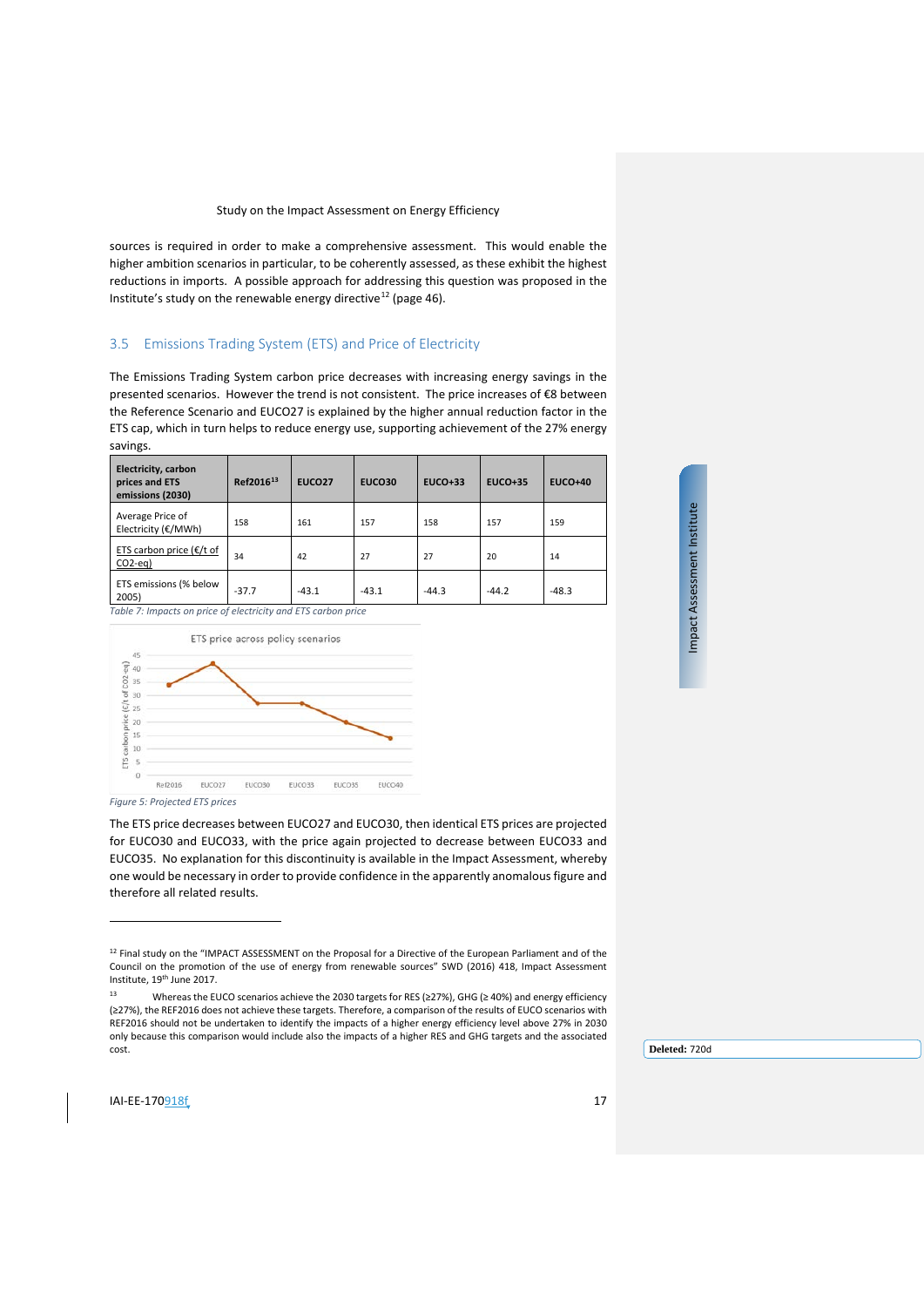sources is required in order to make a comprehensive assessment. This would enable the higher ambition scenarios in particular, to be coherently assessed, as these exhibit the highest reductions in imports. A possible approach for addressing this question was proposed in the Institute's study on the renewable energy directive<sup>[12](#page-16-1)</sup> (page 46).

#### <span id="page-16-0"></span>3.5 Emissions Trading System (ETS) and Price of Electricity

The Emissions Trading System carbon price decreases with increasing energy savings in the presented scenarios. However the trend is not consistent. The price increases of €8 between the Reference Scenario and EUCO27 is explained by the higher annual reduction factor in the ETS cap, which in turn helps to reduce energy use, supporting achievement of the 27% energy savings.

| <b>Electricity, carbon</b><br>prices and ETS<br>emissions (2030) | Ref2016 <sup>13</sup> | <b>EUCO27</b> | <b>EUCO30</b> | $EUCO+33$ | $EUCO+35$ | $EUCO+40$ |
|------------------------------------------------------------------|-----------------------|---------------|---------------|-----------|-----------|-----------|
| Average Price of<br>Electricity (€/MWh)                          | 158                   | 161           | 157           | 158       | 157       | 159       |
| ETS carbon price ( $E/t$ of<br>$CO2-eq$                          | 34                    | 42            | 27            | 27        | 20        | 14        |
| ETS emissions (% below<br>2005)                                  | $-37.7$               | $-43.1$       | $-43.1$       | $-44.3$   | $-44.2$   | $-48.3$   |

*Table 7: Impacts on price of electricity and ETS carbon price*





*Figure 5: Projected ETS prices*

The ETS price decreases between EUCO27 and EUCO30, then identical ETS prices are projected for EUCO30 and EUCO33, with the price again projected to decrease between EUCO33 and EUCO35. No explanation for this discontinuity is available in the Impact Assessment, whereby one would be necessary in order to provide confidence in the apparently anomalous figure and therefore all related results.

**Deleted:** 720d

 $\overline{a}$ 

<sup>&</sup>lt;sup>12</sup> Final study on the "IMPACT ASSESSMENT on the Proposal for a Directive of the European Parliament and of the Council on the promotion of the use of energy from renewable sources" SWD (2016) 418, Impact Assessment Institute, 19th June 2017.

<span id="page-16-2"></span><span id="page-16-1"></span><sup>13</sup> Whereas the EUCO scenarios achieve the 2030 targets for RES (≥27%), GHG (≥ 40%) and energy efficiency (≥27%), the REF2016 does not achieve these targets. Therefore, a comparison of the results of EUCO scenarios with REF2016 should not be undertaken to identify the impacts of a higher energy efficiency level above 27% in 2030 only because this comparison would include also the impacts of a higher RES and GHG targets and the associated cost.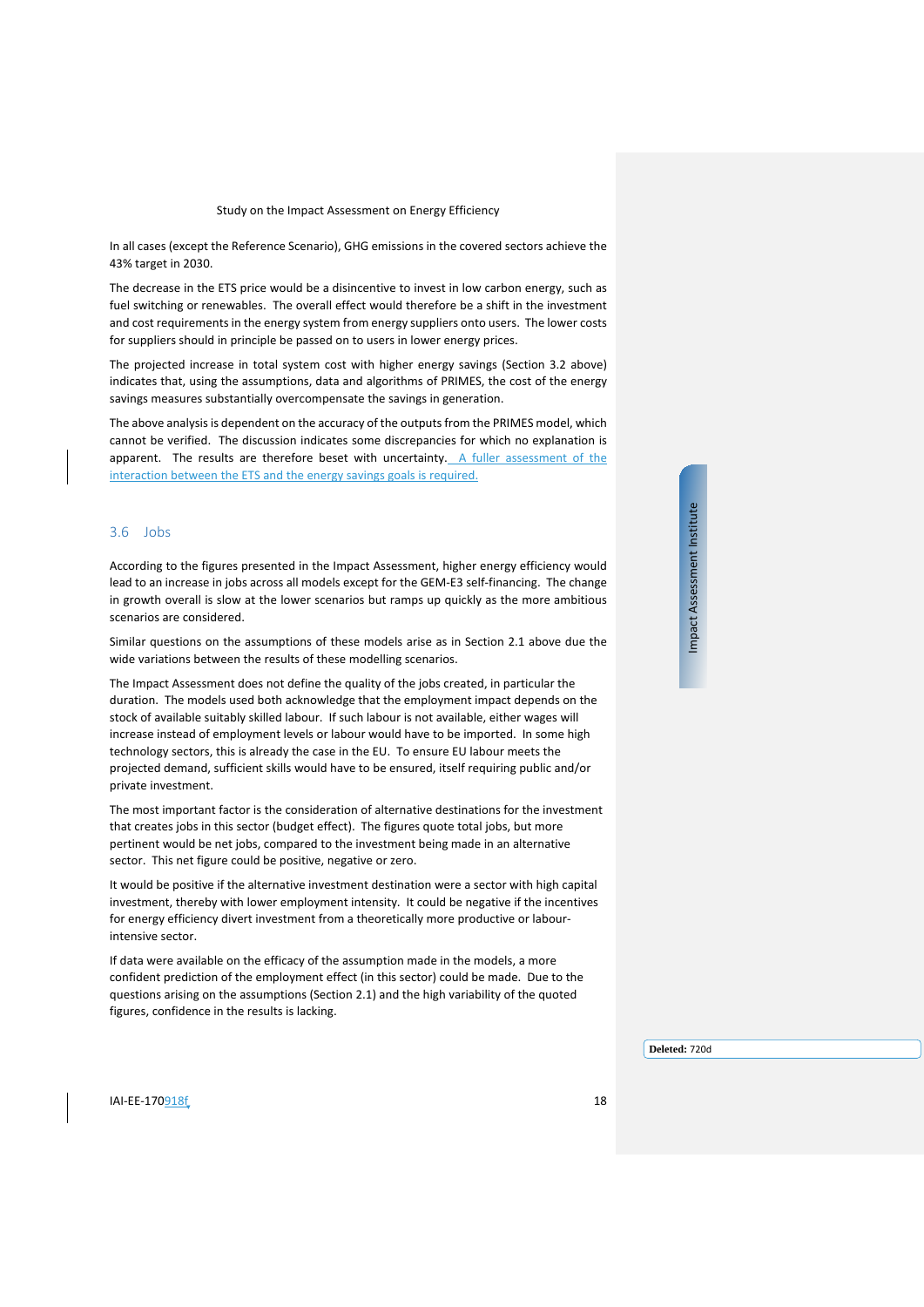In all cases (except the Reference Scenario), GHG emissions in the covered sectors achieve the 43% target in 2030.

The decrease in the ETS price would be a disincentive to invest in low carbon energy, such as fuel switching or renewables. The overall effect would therefore be a shift in the investment and cost requirements in the energy system from energy suppliers onto users. The lower costs for suppliers should in principle be passed on to users in lower energy prices.

The projected increase in total system cost with higher energy savings (Section [3.2](#page-11-0) above) indicates that, using the assumptions, data and algorithms of PRIMES, the cost of the energy savings measures substantially overcompensate the savings in generation.

The above analysis is dependent on the accuracy of the outputs from the PRIMES model, which cannot be verified. The discussion indicates some discrepancies for which no explanation is apparent. The results are therefore beset with uncertainty. A fuller assessment of the interaction between the ETS and the energy savings goals is required.

#### <span id="page-17-0"></span>3.6 Jobs

According to the figures presented in the Impact Assessment, higher energy efficiency would lead to an increase in jobs across all models except for the GEM-E3 self-financing. The change in growth overall is slow at the lower scenarios but ramps up quickly as the more ambitious scenarios are considered.

Similar questions on the assumptions of these models arise as in Section [2.1](#page-6-1) above due the wide variations between the results of these modelling scenarios.

The Impact Assessment does not define the quality of the jobs created, in particular the duration. The models used both acknowledge that the employment impact depends on the stock of available suitably skilled labour. If such labour is not available, either wages will increase instead of employment levels or labour would have to be imported. In some high technology sectors, this is already the case in the EU. To ensure EU labour meets the projected demand, sufficient skills would have to be ensured, itself requiring public and/or private investment.

The most important factor is the consideration of alternative destinations for the investment that creates jobs in this sector (budget effect). The figures quote total jobs, but more pertinent would be net jobs, compared to the investment being made in an alternative sector. This net figure could be positive, negative or zero.

It would be positive if the alternative investment destination were a sector with high capital investment, thereby with lower employment intensity. It could be negative if the incentives for energy efficiency divert investment from a theoretically more productive or labourintensive sector.

If data were available on the efficacy of the assumption made in the models, a more confident prediction of the employment effect (in this sector) could be made. Due to the questions arising on the assumptions (Sectio[n 2.1\)](#page-6-1) and the high variability of the quoted figures, confidence in the results is lacking.

Impact Assessment Institute Impact Assessment Institute

 $I$ AI-EE-170918 $f$  18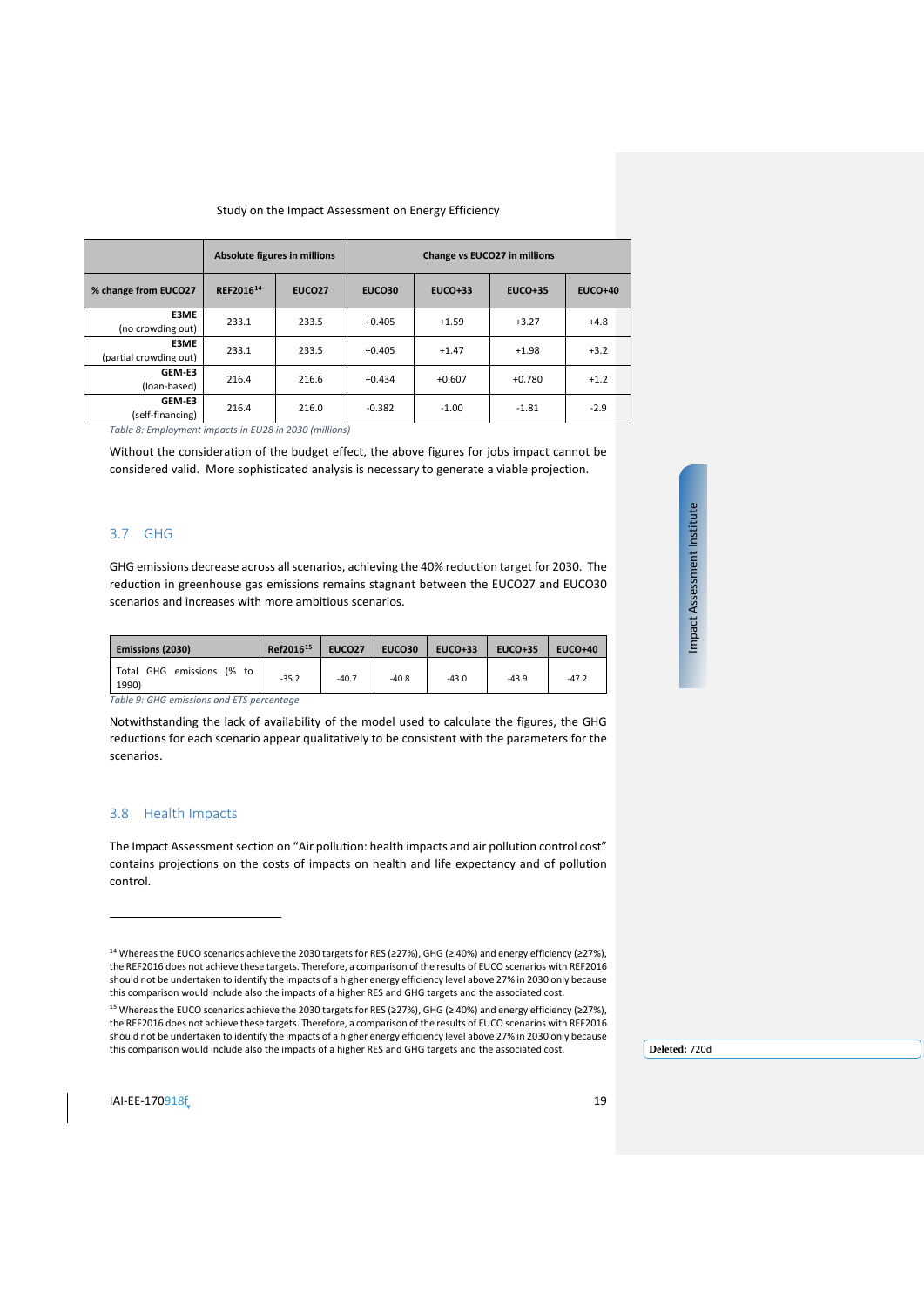|                                             | Absolute figures in millions |               | Change vs EUCO27 in millions |           |           |                |  |  |  |
|---------------------------------------------|------------------------------|---------------|------------------------------|-----------|-----------|----------------|--|--|--|
| % change from EUCO27                        | REF201614                    | <b>EUCO27</b> | <b>EUCO30</b>                | $EUCO+33$ | $EUCO+35$ | <b>EUCO+40</b> |  |  |  |
| E3ME<br>(no crowding out)                   | 233.1                        | 233.5         | $+0.405$                     | $+1.59$   | $+3.27$   | $+4.8$         |  |  |  |
| E3ME<br>(partial crowding out)              | 233.1                        | 233.5         | $+0.405$                     | $+1.47$   | $+1.98$   | $+3.2$         |  |  |  |
| GEM-E3<br>(loan-based)                      | 216.4                        | 216.6         | $+0.434$                     | $+0.607$  | $+0.780$  | $+1.2$         |  |  |  |
| GEM-E3<br>(self-financing)<br>_ _ _ . _ _ . | 216.4                        | 216.0         | $-0.382$                     | $-1.00$   | $-1.81$   | $-2.9$         |  |  |  |

*Table 8: Employment impacts in EU28 in 2030 (millions)*

Without the consideration of the budget effect, the above figures for jobs impact cannot be considered valid. More sophisticated analysis is necessary to generate a viable projection.

## <span id="page-18-0"></span>3.7 GHG

GHG emissions decrease across all scenarios, achieving the 40% reduction target for 2030. The reduction in greenhouse gas emissions remains stagnant between the EUCO27 and EUCO30 scenarios and increases with more ambitious scenarios.

| Emissions (2030)                   | Ref2016 <sup>15</sup> | <b>EUCO27</b> | EUCO30  | <b>EUCO+33</b> | $EUCO+35$ | <b>EUCO+40</b> |
|------------------------------------|-----------------------|---------------|---------|----------------|-----------|----------------|
| Total GHG emissions (% to<br>1990) | $-35.2$               | $-40.7$       | $-40.8$ | $-43.0$        | $-43.9$   | $-47.2$        |

*Table 9: GHG emissions and ETS percentage*

Notwithstanding the lack of availability of the model used to calculate the figures, the GHG reductions for each scenario appear qualitatively to be consistent with the parameters for the scenarios.

## <span id="page-18-1"></span>3.8 Health Impacts

The Impact Assessment section on "Air pollution: health impacts and air pollution control cost" contains projections on the costs of impacts on health and life expectancy and of pollution control.

**Deleted:** 720d

j

<sup>14</sup> Whereas the EUCO scenarios achieve the 2030 targets for RES (≥27%), GHG (≥ 40%) and energy efficiency (≥27%), the REF2016 does not achieve these targets. Therefore, a comparison of the results of EUCO scenarios with REF2016 should not be undertaken to identify the impacts of a higher energy efficiency level above 27% in 2030 only because this comparison would include also the impacts of a higher RES and GHG targets and the associated cost.

<span id="page-18-3"></span><span id="page-18-2"></span><sup>15</sup> Whereas the EUCO scenarios achieve the 2030 targets for RES (≥27%), GHG (≥ 40%) and energy efficiency (≥27%), the REF2016 does not achieve these targets. Therefore, a comparison of the results of EUCO scenarios with REF2016 should not be undertaken to identify the impacts of a higher energy efficiency level above 27% in 2030 only because this comparison would include also the impacts of a higher RES and GHG targets and the associated cost.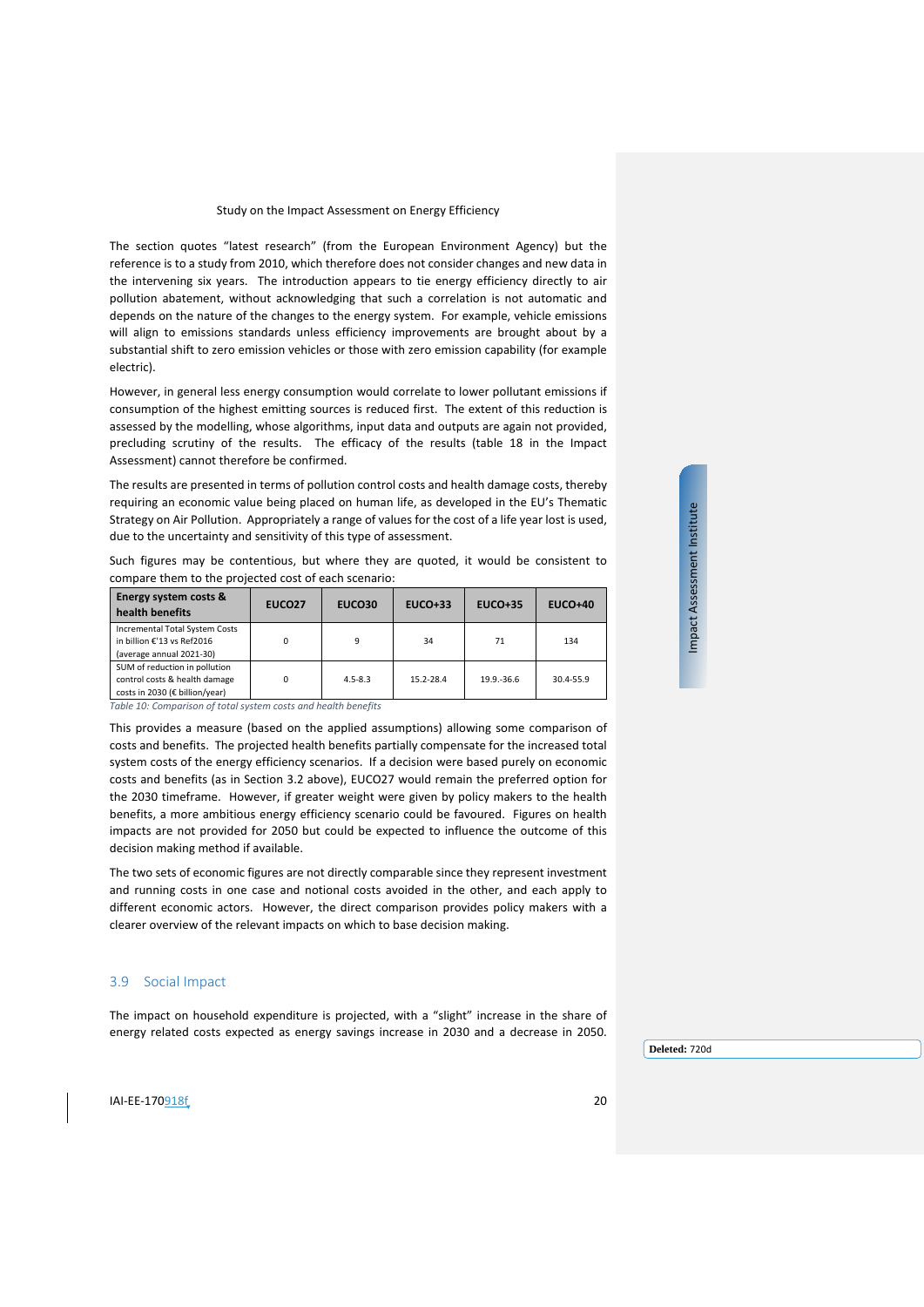The section quotes "latest research" (from the European Environment Agency) but the reference is to a study from 2010, which therefore does not consider changes and new data in the intervening six years. The introduction appears to tie energy efficiency directly to air pollution abatement, without acknowledging that such a correlation is not automatic and depends on the nature of the changes to the energy system. For example, vehicle emissions will align to emissions standards unless efficiency improvements are brought about by a substantial shift to zero emission vehicles or those with zero emission capability (for example electric).

However, in general less energy consumption would correlate to lower pollutant emissions if consumption of the highest emitting sources is reduced first. The extent of this reduction is assessed by the modelling, whose algorithms, input data and outputs are again not provided, precluding scrutiny of the results. The efficacy of the results (table 18 in the Impact Assessment) cannot therefore be confirmed.

The results are presented in terms of pollution control costs and health damage costs, thereby requiring an economic value being placed on human life, as developed in the EU's Thematic Strategy on Air Pollution. Appropriately a range of values for the cost of a life year lost is used, due to the uncertainty and sensitivity of this type of assessment.

Such figures may be contentious, but where they are quoted, it would be consistent to compare them to the projected cost of each scenario:

| Energy system costs &<br>health benefits                                                         | EUCO <sub>27</sub> | EUCO30      | $EUCO+33$ | <b>EUCO+35</b> | <b>EUCO+40</b> |
|--------------------------------------------------------------------------------------------------|--------------------|-------------|-----------|----------------|----------------|
| Incremental Total System Costs<br>in billion €'13 vs Ref2016<br>(average annual 2021-30)         | 0                  | 9           | 34        | 71             | 134            |
| SUM of reduction in pollution<br>control costs & health damage<br>costs in 2030 (€ billion/year) | $\Omega$           | $4.5 - 8.3$ | 15.2-28.4 | 19.9.-36.6     | 30.4-55.9      |

*Table 10: Comparison of total system costs and health benefits*

This provides a measure (based on the applied assumptions) allowing some comparison of costs and benefits. The projected health benefits partially compensate for the increased total system costs of the energy efficiency scenarios. If a decision were based purely on economic costs and benefits (as in Section [3.2](#page-11-0) above), EUCO27 would remain the preferred option for the 2030 timeframe. However, if greater weight were given by policy makers to the health benefits, a more ambitious energy efficiency scenario could be favoured. Figures on health impacts are not provided for 2050 but could be expected to influence the outcome of this decision making method if available.

The two sets of economic figures are not directly comparable since they represent investment and running costs in one case and notional costs avoided in the other, and each apply to different economic actors. However, the direct comparison provides policy makers with a clearer overview of the relevant impacts on which to base decision making.

#### <span id="page-19-0"></span>3.9 Social Impact

The impact on household expenditure is projected, with a "slight" increase in the share of energy related costs expected as energy savings increase in 2030 and a decrease in 2050.

Impact Assessment Institute Impact Assessment Institute

 $I$ AI-EE-170918 $f$  20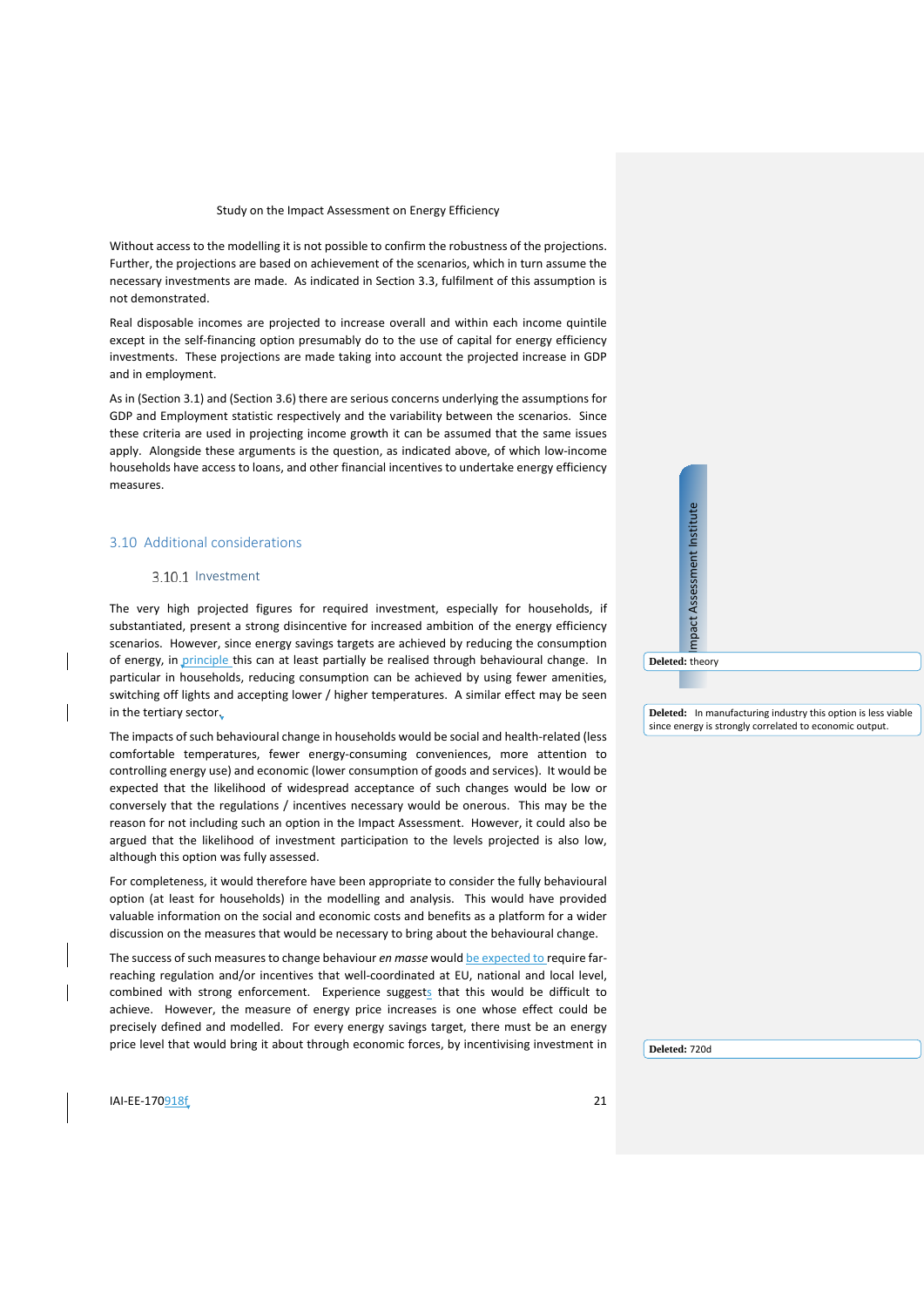Without access to the modelling it is not possible to confirm the robustness of the projections. Further, the projections are based on achievement of the scenarios, which in turn assume the necessary investments are made. As indicated in Section [3.3,](#page-12-0) fulfilment of this assumption is not demonstrated.

Real disposable incomes are projected to increase overall and within each income quintile except in the self-financing option presumably do to the use of capital for energy efficiency investments. These projections are made taking into account the projected increase in GDP and in employment.

As in (Section [3.1\)](#page-10-0) and (Section [3.6\)](#page-17-0) there are serious concerns underlying the assumptions for GDP and Employment statistic respectively and the variability between the scenarios. Since these criteria are used in projecting income growth it can be assumed that the same issues apply. Alongside these arguments is the question, as indicated above, of which low-income households have access to loans, and other financial incentives to undertake energy efficiency measures.

#### <span id="page-20-0"></span>3.10 Additional considerations

#### 3.10.1 Investment

The very high projected figures for required investment, especially for households, if substantiated, present a strong disincentive for increased ambition of the energy efficiency scenarios. However, since energy savings targets are achieved by reducing the consumption of energy, in principle this can at least partially be realised through behavioural change. In particular in households, reducing consumption can be achieved by using fewer amenities, switching off lights and accepting lower / higher temperatures. A similar effect may be seen in the tertiary sector.

The impacts of such behavioural change in households would be social and health-related (less comfortable temperatures, fewer energy-consuming conveniences, more attention to controlling energy use) and economic (lower consumption of goods and services). It would be expected that the likelihood of widespread acceptance of such changes would be low or conversely that the regulations / incentives necessary would be onerous. This may be the reason for not including such an option in the Impact Assessment. However, it could also be argued that the likelihood of investment participation to the levels projected is also low, although this option was fully assessed.

For completeness, it would therefore have been appropriate to consider the fully behavioural option (at least for households) in the modelling and analysis. This would have provided valuable information on the social and economic costs and benefits as a platform for a wider discussion on the measures that would be necessary to bring about the behavioural change.

The success of such measures to change behaviour *en masse* would be expected to require farreaching regulation and/or incentives that well-coordinated at EU, national and local level, combined with strong enforcement. Experience suggests that this would be difficult to achieve. However, the measure of energy price increases is one whose effect could be precisely defined and modelled. For every energy savings target, there must be an energy price level that would bring it about through economic forces, by incentivising investment in **Deleted:** In manufacturing industry this option is less viable since energy is strongly correlated to economic output.

Impact Assessment Institute

mpact Assessment Institute

**Deleted:** theory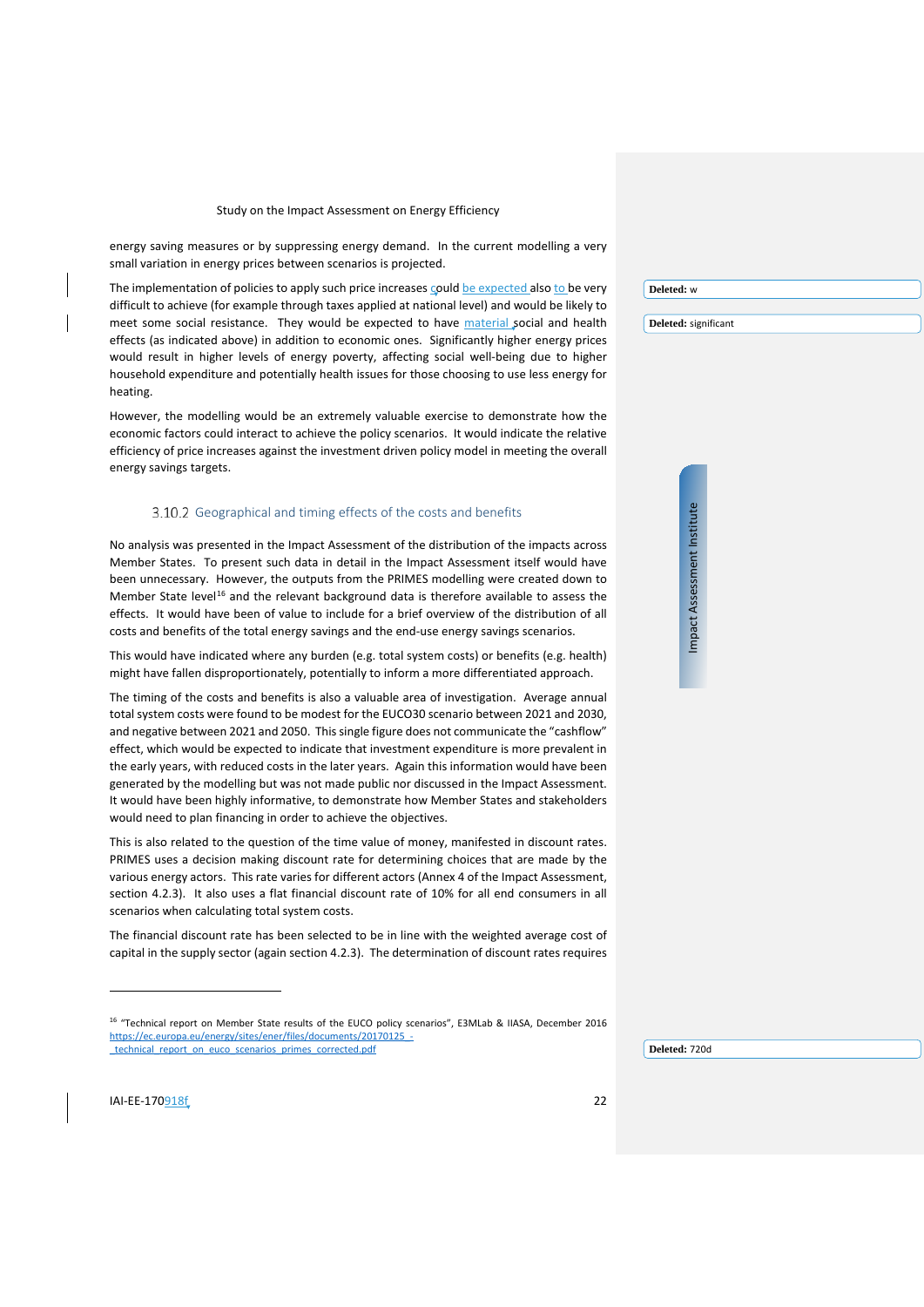energy saving measures or by suppressing energy demand. In the current modelling a very small variation in energy prices between scenarios is projected.

The implementation of policies to apply such price increases could be expected also to be very difficult to achieve (for example through taxes applied at national level) and would be likely to meet some social resistance. They would be expected to have material social and health effects (as indicated above) in addition to economic ones. Significantly higher energy prices would result in higher levels of energy poverty, affecting social well-being due to higher household expenditure and potentially health issues for those choosing to use less energy for heating.

However, the modelling would be an extremely valuable exercise to demonstrate how the economic factors could interact to achieve the policy scenarios. It would indicate the relative efficiency of price increases against the investment driven policy model in meeting the overall energy savings targets.

#### 3.10.2 Geographical and timing effects of the costs and benefits

No analysis was presented in the Impact Assessment of the distribution of the impacts across Member States. To present such data in detail in the Impact Assessment itself would have been unnecessary. However, the outputs from the PRIMES modelling were created down to Member State level<sup>[16](#page-21-0)</sup> and the relevant background data is therefore available to assess the effects. It would have been of value to include for a brief overview of the distribution of all costs and benefits of the total energy savings and the end-use energy savings scenarios.

This would have indicated where any burden (e.g. total system costs) or benefits (e.g. health) might have fallen disproportionately, potentially to inform a more differentiated approach.

The timing of the costs and benefits is also a valuable area of investigation. Average annual total system costs were found to be modest for the EUCO30 scenario between 2021 and 2030, and negative between 2021 and 2050. This single figure does not communicate the "cashflow" effect, which would be expected to indicate that investment expenditure is more prevalent in the early years, with reduced costs in the later years. Again this information would have been generated by the modelling but was not made public nor discussed in the Impact Assessment. It would have been highly informative, to demonstrate how Member States and stakeholders would need to plan financing in order to achieve the objectives.

This is also related to the question of the time value of money, manifested in discount rates. PRIMES uses a decision making discount rate for determining choices that are made by the various energy actors. This rate varies for different actors (Annex 4 of the Impact Assessment, section 4.2.3). It also uses a flat financial discount rate of 10% for all end consumers in all scenarios when calculating total system costs.

The financial discount rate has been selected to be in line with the weighted average cost of capital in the supply sector (again section 4.2.3). The determination of discount rates requires **Deleted:** w

**Deleted:** significant

<span id="page-21-0"></span>IAI-EE-170918f 22

j

<sup>&</sup>lt;sup>16</sup> "Technical report on Member State results of the EUCO policy scenarios", E3MLab & IIASA, December 2016 [https://ec.europa.eu/energy/sites/ener/files/documents/20170125\\_-](https://ec.europa.eu/energy/sites/ener/files/documents/20170125_-_technical_report_on_euco_scenarios_primes_corrected.pdf) [\\_technical\\_report\\_on\\_euco\\_scenarios\\_primes\\_corrected.pdf](https://ec.europa.eu/energy/sites/ener/files/documents/20170125_-_technical_report_on_euco_scenarios_primes_corrected.pdf)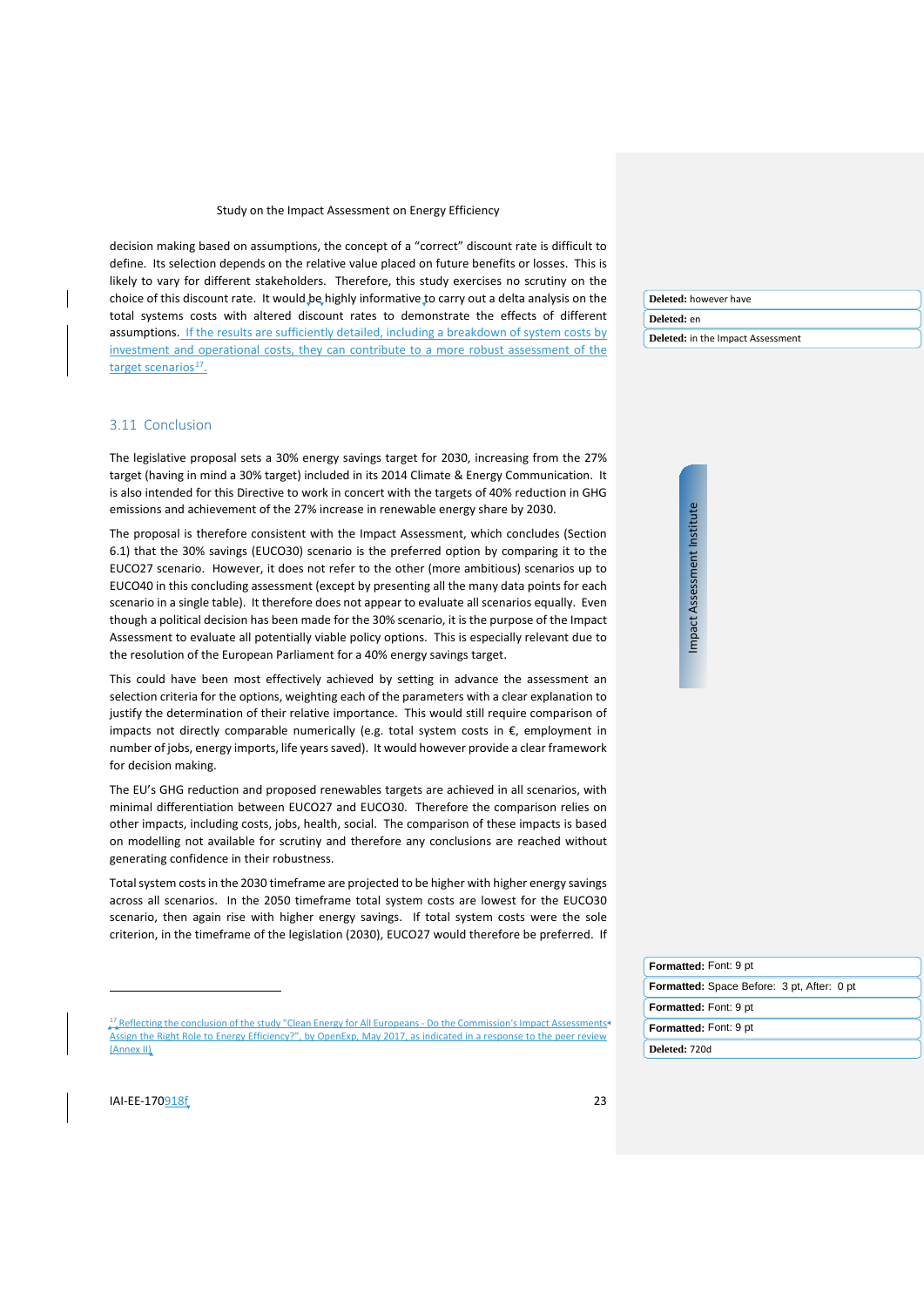decision making based on assumptions, the concept of a "correct" discount rate is difficult to define. Its selection depends on the relative value placed on future benefits or losses. This is likely to vary for different stakeholders. Therefore, this study exercises no scrutiny on the choice of this discount rate. It would be highly informative to carry out a delta analysis on the total systems costs with altered discount rates to demonstrate the effects of different assumptions. If the results are sufficiently detailed, including a breakdown of system costs by investment and operational costs, they can contribute to a more robust assessment of the target scenarios $^{17}$  $^{17}$  $^{17}$ .

#### <span id="page-22-0"></span>3.11 Conclusion

The legislative proposal sets a 30% energy savings target for 2030, increasing from the 27% target (having in mind a 30% target) included in its 2014 Climate & Energy Communication. It is also intended for this Directive to work in concert with the targets of 40% reduction in GHG emissions and achievement of the 27% increase in renewable energy share by 2030.

The proposal is therefore consistent with the Impact Assessment, which concludes (Section 6.1) that the 30% savings (EUCO30) scenario is the preferred option by comparing it to the EUCO27 scenario. However, it does not refer to the other (more ambitious) scenarios up to EUCO40 in this concluding assessment (except by presenting all the many data points for each scenario in a single table). It therefore does not appear to evaluate all scenarios equally. Even though a political decision has been made for the 30% scenario, it is the purpose of the Impact Assessment to evaluate all potentially viable policy options. This is especially relevant due to the resolution of the European Parliament for a 40% energy savings target.

This could have been most effectively achieved by setting in advance the assessment an selection criteria for the options, weighting each of the parameters with a clear explanation to justify the determination of their relative importance. This would still require comparison of impacts not directly comparable numerically (e.g. total system costs in  $\epsilon$ , employment in number of jobs, energy imports, life years saved). It would however provide a clear framework for decision making.

The EU's GHG reduction and proposed renewables targets are achieved in all scenarios, with minimal differentiation between EUCO27 and EUCO30. Therefore the comparison relies on other impacts, including costs, jobs, health, social. The comparison of these impacts is based on modelling not available for scrutiny and therefore any conclusions are reached without generating confidence in their robustness.

Total system costs in the 2030 timeframe are projected to be higher with higher energy savings across all scenarios. In the 2050 timeframe total system costs are lowest for the EUCO30 scenario, then again rise with higher energy savings. If total system costs were the sole criterion, in the timeframe of the legislation (2030), EUCO27 would therefore be preferred. If **Deleted:** however have **Deleted:** en **Deleted:** in the Impact Assessment

> Impact Assessment Institute Impact Assessment Institute

**Deleted:** 720d **Formatted:** Font: 9 pt **Formatted:** Space Before: 3 pt, After: 0 pt **Formatted:** Font: 9 pt **Formatted:** Font: 9 pt

<span id="page-22-1"></span>IAI-EE-170918f 23

j

<sup>&</sup>lt;sup>17</sup> Reflecting the conclusion of the study "Clean Energy for All Europeans - Do the Commission's Impact Assessments Assign the Right Role to Energy Efficiency?", by OpenExp, May 2017, as indicated in a response to the peer review (Annex II)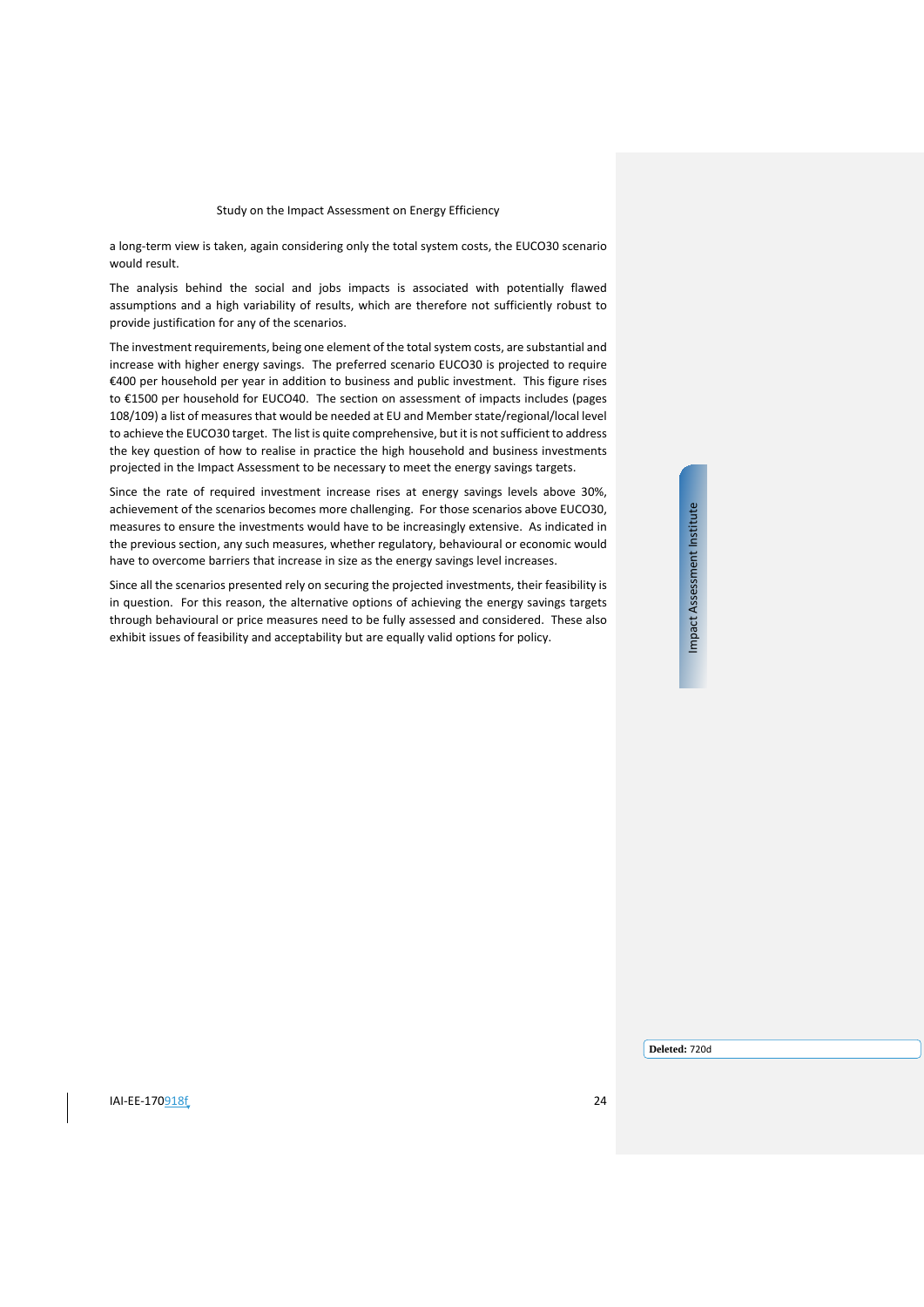a long-term view is taken, again considering only the total system costs, the EUCO30 scenario would result.

The analysis behind the social and jobs impacts is associated with potentially flawed assumptions and a high variability of results, which are therefore not sufficiently robust to provide justification for any of the scenarios.

The investment requirements, being one element of the total system costs, are substantial and increase with higher energy savings. The preferred scenario EUCO30 is projected to require €400 per household per year in addition to business and public investment. This figure rises to €1500 per household for EUCO40. The section on assessment of impacts includes (pages 108/109) a list of measures that would be needed at EU and Member state/regional/local level to achieve the EUCO30 target. The list is quite comprehensive, but it is not sufficient to address the key question of how to realise in practice the high household and business investments projected in the Impact Assessment to be necessary to meet the energy savings targets.

Since the rate of required investment increase rises at energy savings levels above 30%, achievement of the scenarios becomes more challenging. For those scenarios above EUCO30, measures to ensure the investments would have to be increasingly extensive. As indicated in the previous section, any such measures, whether regulatory, behavioural or economic would have to overcome barriers that increase in size as the energy savings level increases.

Since all the scenarios presented rely on securing the projected investments, their feasibility is in question. For this reason, the alternative options of achieving the energy savings targets through behavioural or price measures need to be fully assessed and considered. These also exhibit issues of feasibility and acceptability but are equally valid options for policy.

Impact Assessment Institute Impact Assessment Institute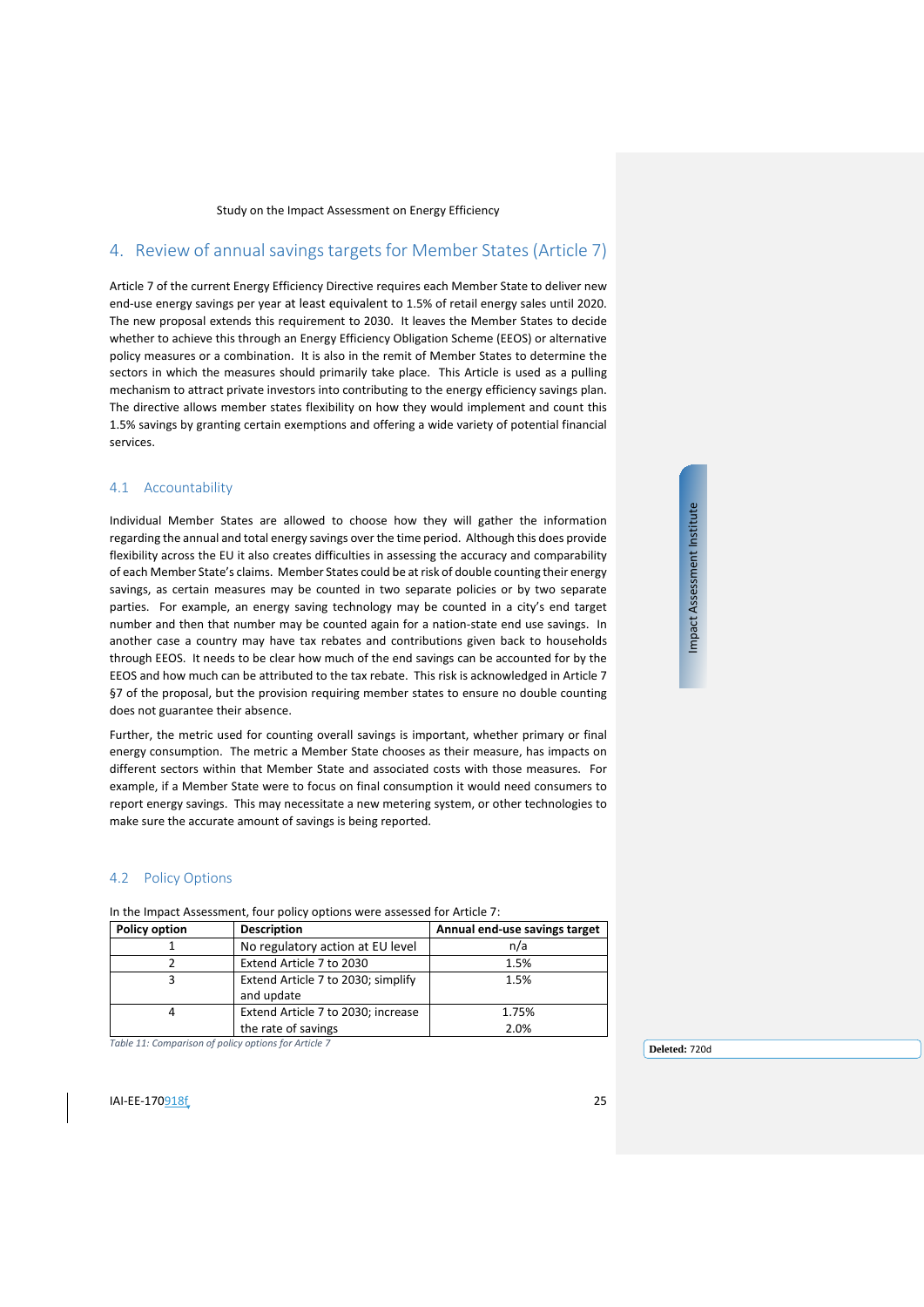# <span id="page-24-0"></span>4. Review of annual savings targets for Member States (Article 7)

Article 7 of the current Energy Efficiency Directive requires each Member State to deliver new end-use energy savings per year at least equivalent to 1.5% of retail energy sales until 2020. The new proposal extends this requirement to 2030. It leaves the Member States to decide whether to achieve this through an Energy Efficiency Obligation Scheme (EEOS) or alternative policy measures or a combination. It is also in the remit of Member States to determine the sectors in which the measures should primarily take place. This Article is used as a pulling mechanism to attract private investors into contributing to the energy efficiency savings plan. The directive allows member states flexibility on how they would implement and count this 1.5% savings by granting certain exemptions and offering a wide variety of potential financial services.

#### <span id="page-24-1"></span>4.1 Accountability

Individual Member States are allowed to choose how they will gather the information regarding the annual and total energy savings over the time period. Although this does provide flexibility across the EU it also creates difficulties in assessing the accuracy and comparability of each Member State's claims. Member States could be at risk of double counting their energy savings, as certain measures may be counted in two separate policies or by two separate parties. For example, an energy saving technology may be counted in a city's end target number and then that number may be counted again for a nation-state end use savings. In another case a country may have tax rebates and contributions given back to households through EEOS. It needs to be clear how much of the end savings can be accounted for by the EEOS and how much can be attributed to the tax rebate. This risk is acknowledged in Article 7 §7 of the proposal, but the provision requiring member states to ensure no double counting does not guarantee their absence.

Further, the metric used for counting overall savings is important, whether primary or final energy consumption. The metric a Member State chooses as their measure, has impacts on different sectors within that Member State and associated costs with those measures. For example, if a Member State were to focus on final consumption it would need consumers to report energy savings. This may necessitate a new metering system, or other technologies to make sure the accurate amount of savings is being reported.

#### <span id="page-24-2"></span>4.2 Policy Options

In the Impact Assessment, four policy options were assessed for Article 7:

| <b>Policy option</b> | <b>Description</b>                                        | Annual end-use savings target |
|----------------------|-----------------------------------------------------------|-------------------------------|
|                      | No regulatory action at EU level                          | n/a                           |
|                      | Extend Article 7 to 2030                                  | 1.5%                          |
|                      | Extend Article 7 to 2030; simplify<br>and update          | 1.5%                          |
|                      | Extend Article 7 to 2030; increase<br>the rate of savings | 1.75%<br>2.0%                 |

*Table 11: Comparison of policy options for Article 7*

**IAI-EE-170**918f 25

**Deleted:** 720d

Impact Assessment Institute Impact Assessment Institute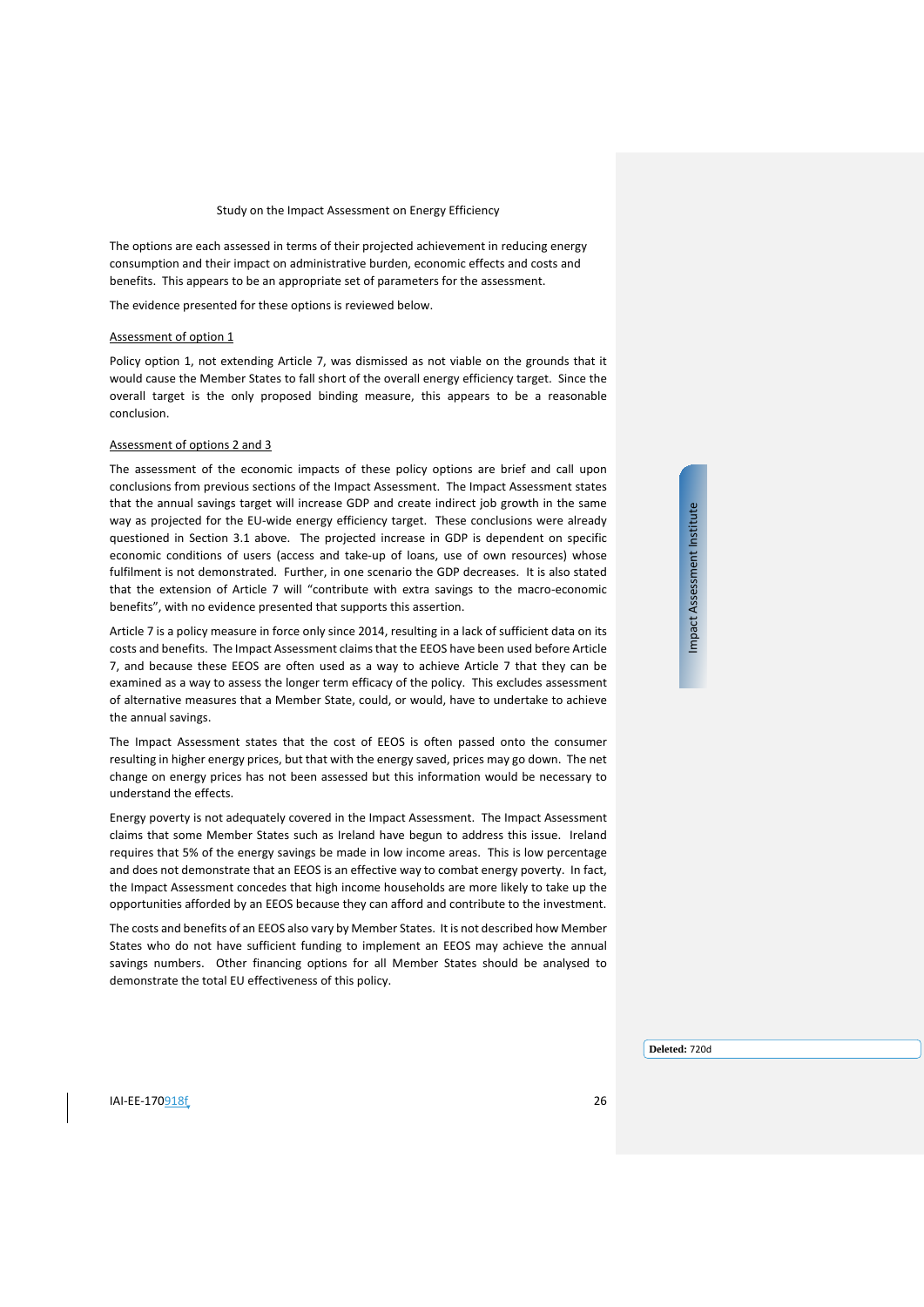The options are each assessed in terms of their projected achievement in reducing energy consumption and their impact on administrative burden, economic effects and costs and benefits. This appears to be an appropriate set of parameters for the assessment.

The evidence presented for these options is reviewed below.

#### Assessment of option 1

Policy option 1, not extending Article 7, was dismissed as not viable on the grounds that it would cause the Member States to fall short of the overall energy efficiency target. Since the overall target is the only proposed binding measure, this appears to be a reasonable conclusion.

#### Assessment of options 2 and 3

The assessment of the economic impacts of these policy options are brief and call upon conclusions from previous sections of the Impact Assessment. The Impact Assessment states that the annual savings target will increase GDP and create indirect job growth in the same way as projected for the EU-wide energy efficiency target. These conclusions were already questioned in Section [3.1](#page-10-0) above. The projected increase in GDP is dependent on specific economic conditions of users (access and take-up of loans, use of own resources) whose fulfilment is not demonstrated. Further, in one scenario the GDP decreases. It is also stated that the extension of Article 7 will "contribute with extra savings to the macro-economic benefits", with no evidence presented that supports this assertion.

Article 7 is a policy measure in force only since 2014, resulting in a lack of sufficient data on its costs and benefits. The Impact Assessment claims that the EEOS have been used before Article 7, and because these EEOS are often used as a way to achieve Article 7 that they can be examined as a way to assess the longer term efficacy of the policy. This excludes assessment of alternative measures that a Member State, could, or would, have to undertake to achieve the annual savings.

The Impact Assessment states that the cost of EEOS is often passed onto the consumer resulting in higher energy prices, but that with the energy saved, prices may go down. The net change on energy prices has not been assessed but this information would be necessary to understand the effects.

Energy poverty is not adequately covered in the Impact Assessment. The Impact Assessment claims that some Member States such as Ireland have begun to address this issue. Ireland requires that 5% of the energy savings be made in low income areas. This is low percentage and does not demonstrate that an EEOS is an effective way to combat energy poverty. In fact, the Impact Assessment concedes that high income households are more likely to take up the opportunities afforded by an EEOS because they can afford and contribute to the investment.

The costs and benefits of an EEOS also vary by Member States. It is not described how Member States who do not have sufficient funding to implement an EEOS may achieve the annual savings numbers. Other financing options for all Member States should be analysed to demonstrate the total EU effectiveness of this policy.

Impact Assessment Institute Impact Assessment Institute

**Deleted:** 720d

IAI-EE-170918f 26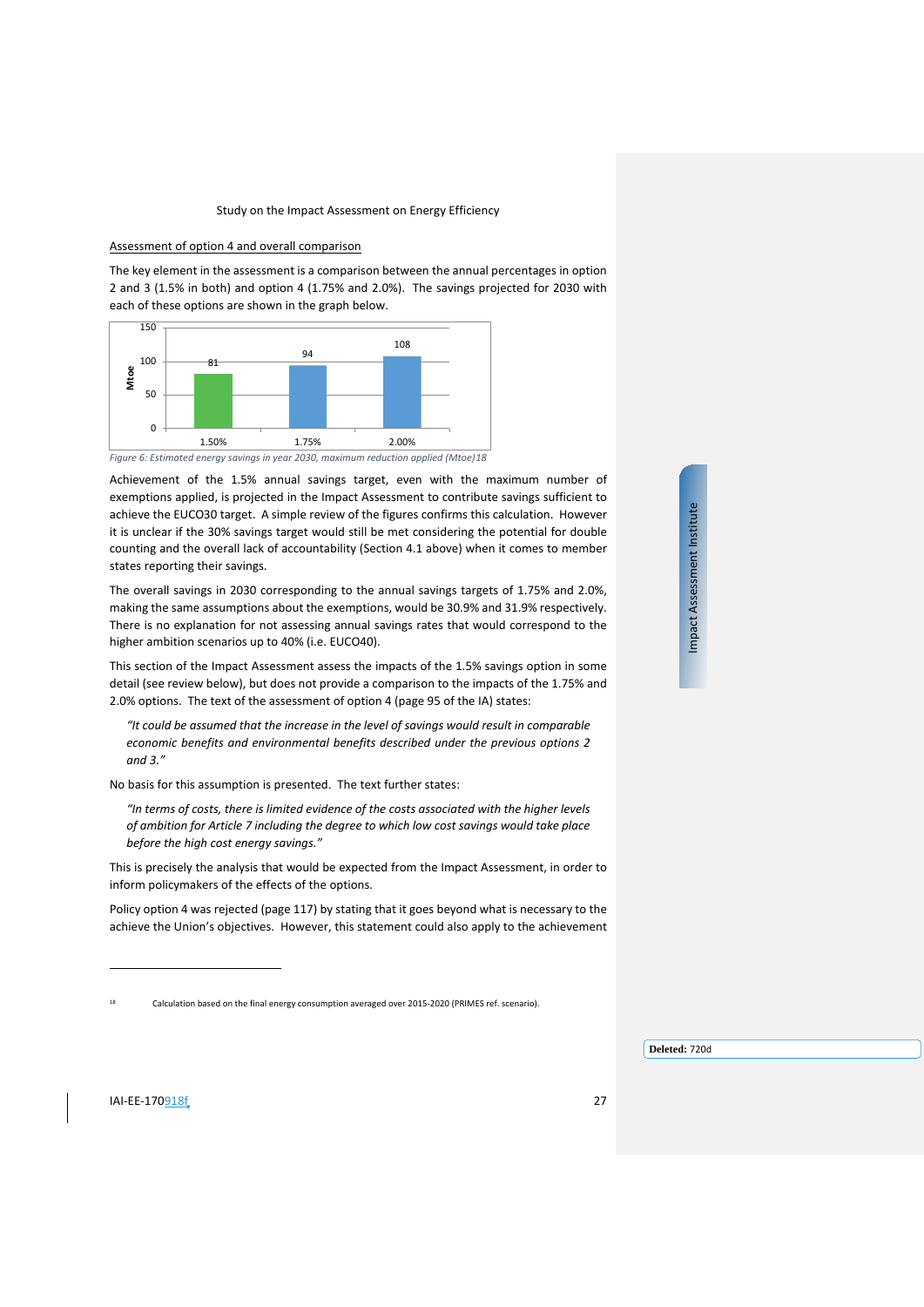#### Assessment of option 4 and overall comparison

The key element in the assessment is a comparison between the annual percentages in option 2 and 3 (1.5% in both) and option 4 (1.75% and 2.0%). The savings projected for 2030 with each of these options are shown in the graph below.



Achievement of the 1.5% annual savings target, even with the maximum number of exemptions applied, is projected in the Impact Assessment to contribute savings sufficient to achieve the EUCO30 target. A simple review of the figures confirms this calculation. However it is unclear if the 30% savings target would still be met considering the potential for double counting and the overall lack of accountability (Section [4.1](#page-24-1) above) when it comes to member states reporting their savings.

The overall savings in 2030 corresponding to the annual savings targets of 1.75% and 2.0%, making the same assumptions about the exemptions, would be 30.9% and 31.9% respectively. There is no explanation for not assessing annual savings rates that would correspond to the higher ambition scenarios up to 40% (i.e. EUCO40).

This section of the Impact Assessment assess the impacts of the 1.5% savings option in some detail (see review below), but does not provide a comparison to the impacts of the 1.75% and 2.0% options. The text of the assessment of option 4 (page 95 of the IA) states:

*"It could be assumed that the increase in the level of savings would result in comparable economic benefits and environmental benefits described under the previous options 2 and 3."*

No basis for this assumption is presented. The text further states:

*"In terms of costs, there is limited evidence of the costs associated with the higher levels of ambition for Article 7 including the degree to which low cost savings would take place before the high cost energy savings."*

This is precisely the analysis that would be expected from the Impact Assessment, in order to inform policymakers of the effects of the options.

Policy option 4 was rejected (page 117) by stating that it goes beyond what is necessary to the achieve the Union's objectives. However, this statement could also apply to the achievement Impact Assessment Institute Impact Assessment Institute

<span id="page-26-0"></span>**IAI-EE-170**918f 27

 $\overline{a}$ 

<sup>18</sup> Calculation based on the final energy consumption averaged over 2015-2020 (PRIMES ref. scenario).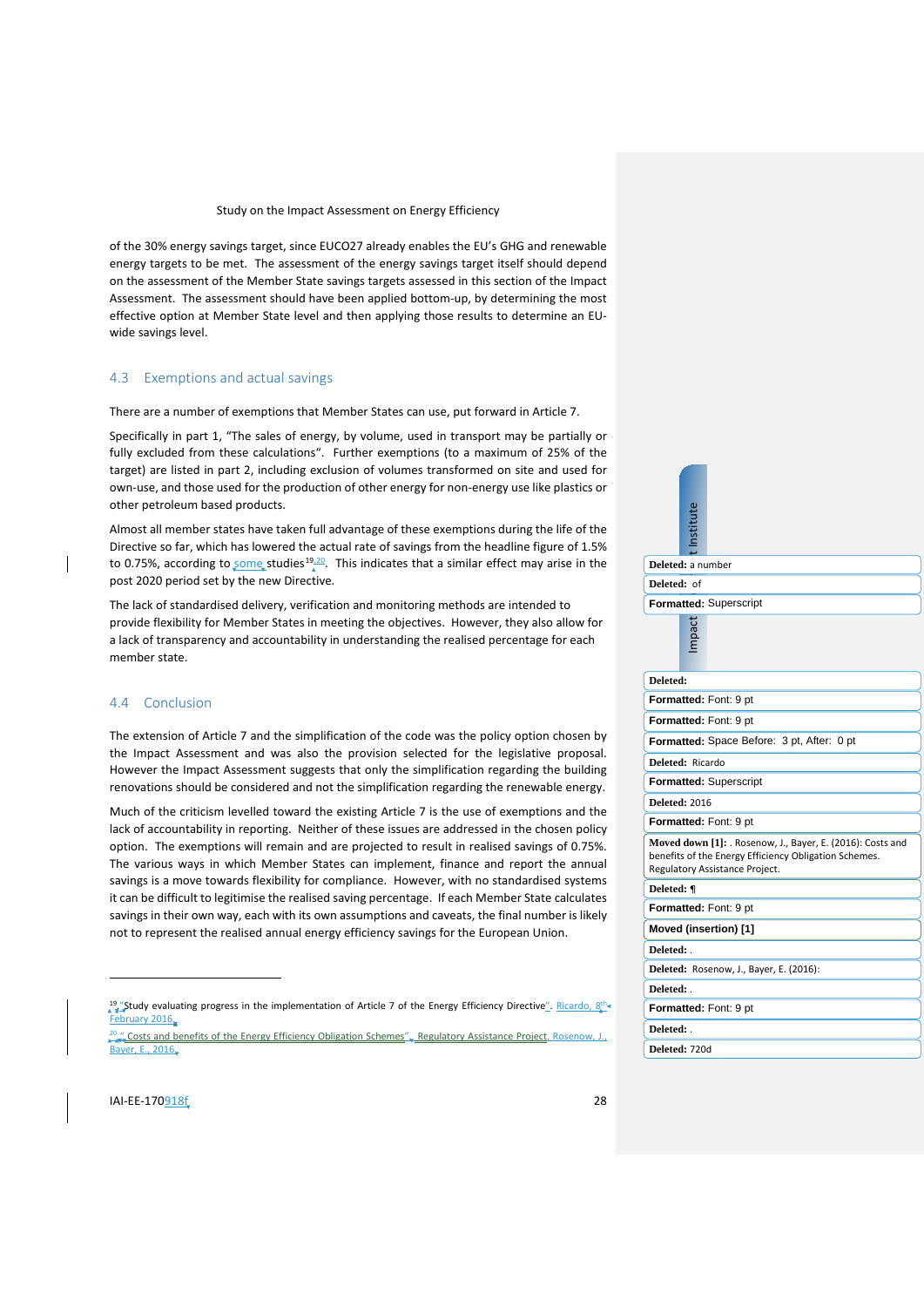of the 30% energy savings target, since EUCO27 already enables the EU's GHG and renewable energy targets to be met. The assessment of the energy savings target itself should depend on the assessment of the Member State savings targets assessed in this section of the Impact Assessment. The assessment should have been applied bottom-up, by determining the most effective option at Member State level and then applying those results to determine an EUwide savings level.

#### <span id="page-27-0"></span>4.3 Exemptions and actual savings

There are a number of exemptions that Member States can use, put forward in Article 7.

Specifically in part 1, "The sales of energy, by volume, used in transport may be partially or fully excluded from these calculations". Further exemptions (to a maximum of 25% of the target) are listed in part 2, including exclusion of volumes transformed on site and used for own-use, and those used for the production of other energy for non-energy use like plastics or other petroleum based products.

Almost all member states have taken full advantage of these exemptions during the life of the Directive so far, which has lowered the actual rate of savings from the headline figure of 1.5% to 0.75%, according to some studies<sup>[19](#page-27-2),[20](#page-27-3)</sup>. This indicates that a similar effect may arise in the post 2020 period set by the new Directive.

The lack of standardised delivery, verification and monitoring methods are intended to provide flexibility for Member States in meeting the objectives. However, they also allow for a lack of transparency and accountability in understanding the realised percentage for each member state.

# <span id="page-27-1"></span>4.4 Conclusion

The extension of Article 7 and the simplification of the code was the policy option chosen by the Impact Assessment and was also the provision selected for the legislative proposal. However the Impact Assessment suggests that only the simplification regarding the building renovations should be considered and not the simplification regarding the renewable energy.

Much of the criticism levelled toward the existing Article 7 is the use of exemptions and the lack of accountability in reporting. Neither of these issues are addressed in the chosen policy option. The exemptions will remain and are projected to result in realised savings of 0.75%. The various ways in which Member States can implement, finance and report the annual savings is a move towards flexibility for compliance. However, with no standardised systems it can be difficult to legitimise the realised saving percentage. If each Member State calculates savings in their own way, each with its own assumptions and caveats, the final number is likely not to represent the realised annual energy efficiency savings for the European Union.

19."Study evaluating progress in the implementation of Article 7 of the Energy Efficiency Directive". Ricardo, February 2016. and benefits of the Energy Efficiency Obligation Schemes", Regulatory Assistance Project, Rosen Bayer, E., 2016.

| Deleted: a number                                                                                                                                     |  |                                            |  |  |
|-------------------------------------------------------------------------------------------------------------------------------------------------------|--|--------------------------------------------|--|--|
| Deleted: of                                                                                                                                           |  |                                            |  |  |
|                                                                                                                                                       |  | Formatted: Superscript                     |  |  |
|                                                                                                                                                       |  |                                            |  |  |
| Deleted:                                                                                                                                              |  |                                            |  |  |
|                                                                                                                                                       |  | Formatted: Font: 9 pt                      |  |  |
|                                                                                                                                                       |  | Formatted: Font: 9 pt                      |  |  |
|                                                                                                                                                       |  | Formatted: Space Before: 3 pt, After: 0 pt |  |  |
| Deleted: Ricardo                                                                                                                                      |  |                                            |  |  |
| <b>Formatted: Superscript</b>                                                                                                                         |  |                                            |  |  |
| <b>Deleted: 2016</b>                                                                                                                                  |  |                                            |  |  |
| Formatted: Font: 9 pt                                                                                                                                 |  |                                            |  |  |
| Moved down [1]: . Rosenow, J., Bayer, E. (2016): Costs and<br>benefits of the Energy Efficiency Obligation Schemes.<br>Regulatory Assistance Project. |  |                                            |  |  |
| Deleted: ¶                                                                                                                                            |  |                                            |  |  |
|                                                                                                                                                       |  | Formatted: Font: 9 pt                      |  |  |
|                                                                                                                                                       |  | Moved (insertion) [1]                      |  |  |
| Deleted:                                                                                                                                              |  |                                            |  |  |
|                                                                                                                                                       |  | Deleted: Rosenow, J., Bayer, E. (2016):    |  |  |
| Deleted: .                                                                                                                                            |  |                                            |  |  |
|                                                                                                                                                       |  | Formatted: Font: 9 pt                      |  |  |
| Deleted: .                                                                                                                                            |  |                                            |  |  |
| Deleted: 720d                                                                                                                                         |  |                                            |  |  |

<span id="page-27-3"></span><span id="page-27-2"></span>**IAI-EE-170**918f 28

 $\overline{a}$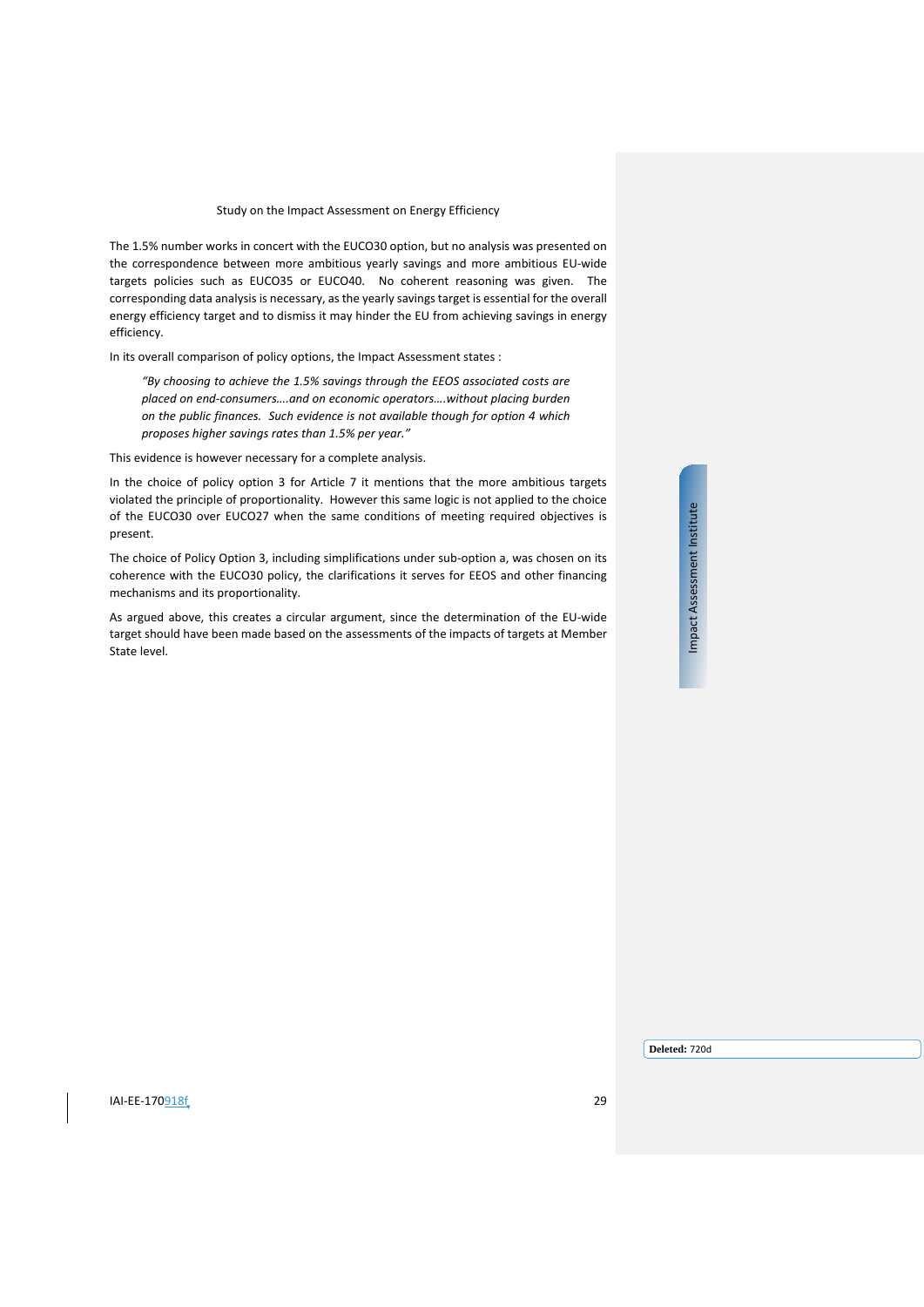The 1.5% number works in concert with the EUCO30 option, but no analysis was presented on the correspondence between more ambitious yearly savings and more ambitious EU-wide targets policies such as EUCO35 or EUCO40. No coherent reasoning was given. The corresponding data analysis is necessary, as the yearly savings target is essential for the overall energy efficiency target and to dismiss it may hinder the EU from achieving savings in energy efficiency.

In its overall comparison of policy options, the Impact Assessment states :

*"By choosing to achieve the 1.5% savings through the EEOS associated costs are placed on end-consumers….and on economic operators….without placing burden on the public finances. Such evidence is not available though for option 4 which proposes higher savings rates than 1.5% per year."*

This evidence is however necessary for a complete analysis.

In the choice of policy option 3 for Article 7 it mentions that the more ambitious targets violated the principle of proportionality. However this same logic is not applied to the choice of the EUCO30 over EUCO27 when the same conditions of meeting required objectives is present.

The choice of Policy Option 3, including simplifications under sub-option a, was chosen on its coherence with the EUCO30 policy, the clarifications it serves for EEOS and other financing mechanisms and its proportionality.

As argued above, this creates a circular argument, since the determination of the EU-wide target should have been made based on the assessments of the impacts of targets at Member State level.

Impact Assessment Institute Impact Assessment Institute

**IAI-EE-170**918f 29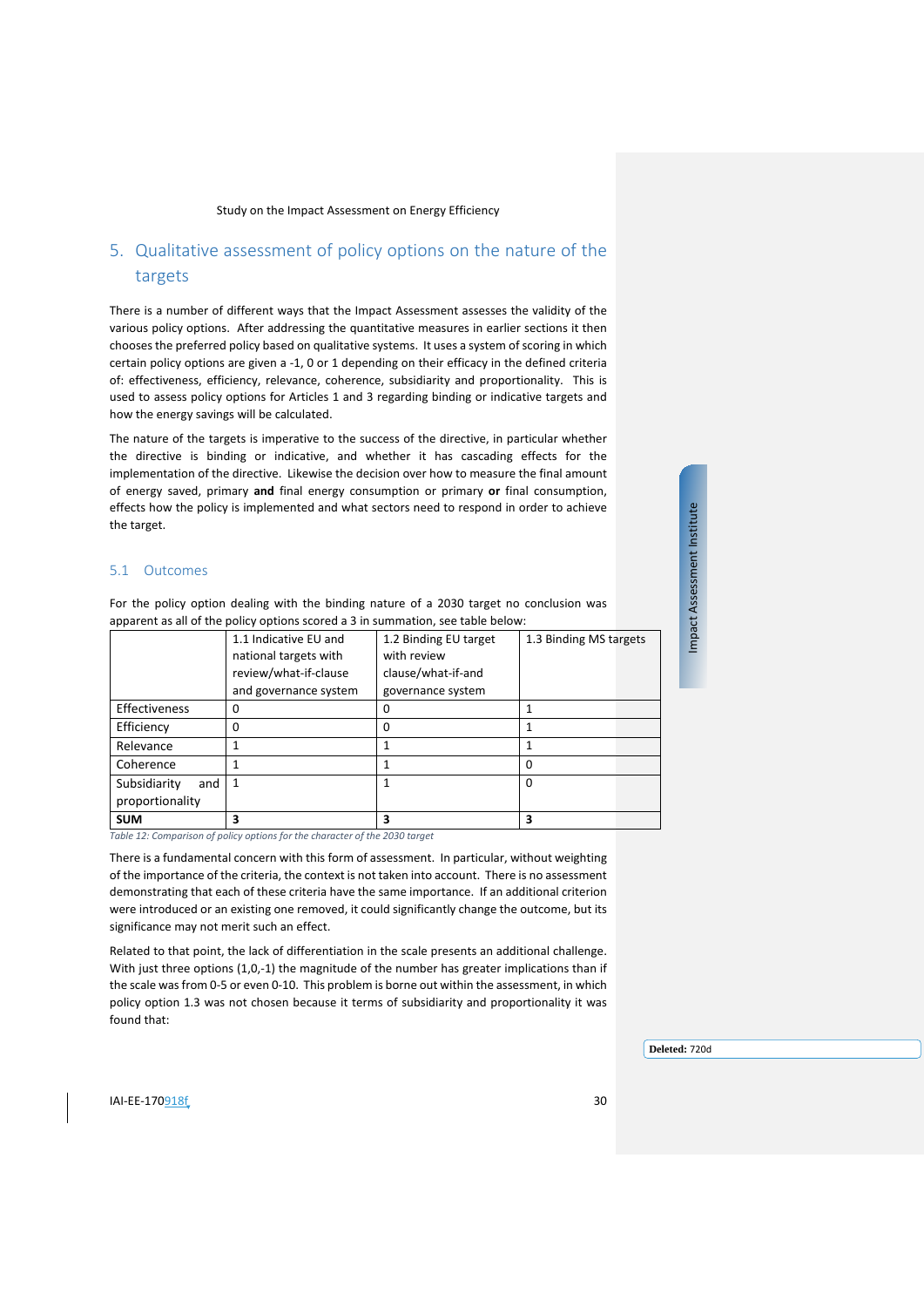# <span id="page-29-0"></span>5. Qualitative assessment of policy options on the nature of the targets

There is a number of different ways that the Impact Assessment assesses the validity of the various policy options. After addressing the quantitative measures in earlier sections it then chooses the preferred policy based on qualitative systems. It uses a system of scoring in which certain policy options are given a -1, 0 or 1 depending on their efficacy in the defined criteria of: effectiveness, efficiency, relevance, coherence, subsidiarity and proportionality. This is used to assess policy options for Articles 1 and 3 regarding binding or indicative targets and how the energy savings will be calculated.

The nature of the targets is imperative to the success of the directive, in particular whether the directive is binding or indicative, and whether it has cascading effects for the implementation of the directive. Likewise the decision over how to measure the final amount of energy saved, primary **and** final energy consumption or primary **or** final consumption, effects how the policy is implemented and what sectors need to respond in order to achieve the target.

#### <span id="page-29-1"></span>5.1 Outcomes

For the policy option dealing with the binding nature of a 2030 target no conclusion was apparent as all of the policy options scored a 3 in summation, see table below:

|                     | 1.1 Indicative EU and | 1.2 Binding EU target | 1.3 Binding MS targets |
|---------------------|-----------------------|-----------------------|------------------------|
|                     | national targets with | with review           |                        |
|                     | review/what-if-clause | clause/what-if-and    |                        |
|                     | and governance system | governance system     |                        |
| Effectiveness       | o                     | O                     |                        |
| Efficiency          | 0                     | 0                     | 1                      |
| Relevance           |                       |                       |                        |
| Coherence           |                       | 1                     | 0                      |
| Subsidiarity<br>and |                       |                       | $\Omega$               |
| proportionality     |                       |                       |                        |
| <b>SUM</b>          | 3                     | 3                     | 3                      |

*Table 12: Comparison of policy options for the character of the 2030 target* 

There is a fundamental concern with this form of assessment. In particular, without weighting of the importance of the criteria, the context is not taken into account. There is no assessment demonstrating that each of these criteria have the same importance. If an additional criterion were introduced or an existing one removed, it could significantly change the outcome, but its significance may not merit such an effect.

Related to that point, the lack of differentiation in the scale presents an additional challenge. With just three options (1,0,-1) the magnitude of the number has greater implications than if the scale was from 0-5 or even 0-10. This problem is borne out within the assessment, in which policy option 1.3 was not chosen because it terms of subsidiarity and proportionality it was found that:

**Deleted:** 720d

Impact Assessment Institute Impact Assessment Institute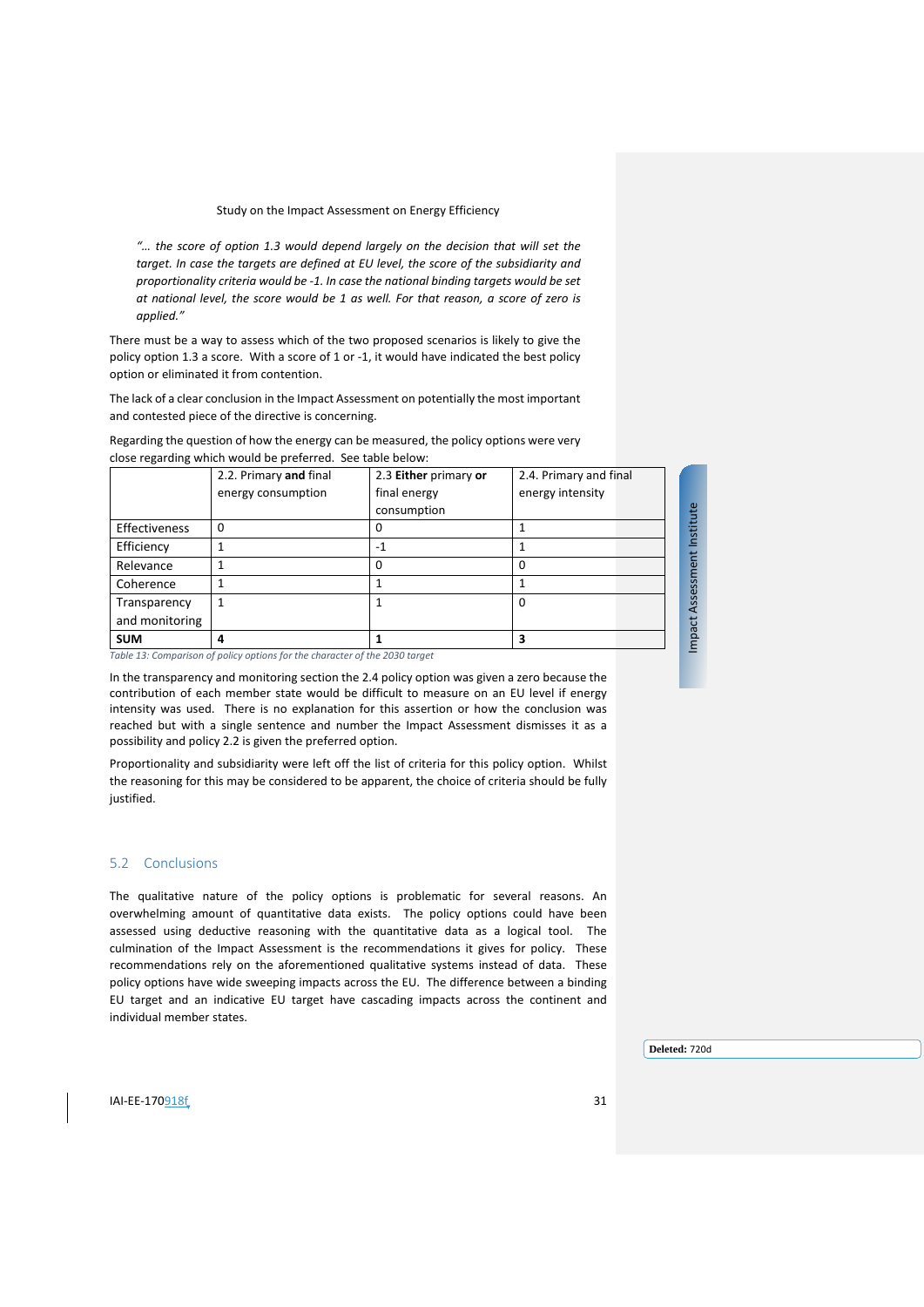*"… the score of option 1.3 would depend largely on the decision that will set the target. In case the targets are defined at EU level, the score of the subsidiarity and proportionality criteria would be -1. In case the national binding targets would be set at national level, the score would be 1 as well. For that reason, a score of zero is applied."*

There must be a way to assess which of the two proposed scenarios is likely to give the policy option 1.3 a score. With a score of 1 or -1, it would have indicated the best policy option or eliminated it from contention.

The lack of a clear conclusion in the Impact Assessment on potentially the most important and contested piece of the directive is concerning.

Regarding the question of how the energy can be measured, the policy options were very close regarding which would be preferred. See table below:

|                | 2.2. Primary and final                                                      | 2.3 Either primary or | 2.4. Primary and final |
|----------------|-----------------------------------------------------------------------------|-----------------------|------------------------|
|                | energy consumption                                                          | final energy          | energy intensity       |
|                |                                                                             | consumption           |                        |
| Effectiveness  | 0                                                                           | 0                     |                        |
| Efficiency     |                                                                             | $-1$                  |                        |
| Relevance      |                                                                             | $\Omega$              | 0                      |
| Coherence      |                                                                             |                       |                        |
| Transparency   | 1                                                                           |                       | 0                      |
| and monitoring |                                                                             |                       |                        |
| <b>SUM</b>     | 4                                                                           |                       | 3                      |
|                | Table 13: Comparison of policy options for the character of the 2030 target |                       |                        |

In the transparency and monitoring section the 2.4 policy option was given a zero because the contribution of each member state would be difficult to measure on an EU level if energy intensity was used. There is no explanation for this assertion or how the conclusion was reached but with a single sentence and number the Impact Assessment dismisses it as a possibility and policy 2.2 is given the preferred option.

Proportionality and subsidiarity were left off the list of criteria for this policy option. Whilst the reasoning for this may be considered to be apparent, the choice of criteria should be fully justified.

#### <span id="page-30-0"></span>5.2 Conclusions

The qualitative nature of the policy options is problematic for several reasons. An overwhelming amount of quantitative data exists. The policy options could have been assessed using deductive reasoning with the quantitative data as a logical tool. The culmination of the Impact Assessment is the recommendations it gives for policy. These recommendations rely on the aforementioned qualitative systems instead of data. These policy options have wide sweeping impacts across the EU. The difference between a binding EU target and an indicative EU target have cascading impacts across the continent and individual member states.

**Deleted:** 720d

Impact Assessment Institute

Impact Assessment Institute

**IAI-EE-170**918f 31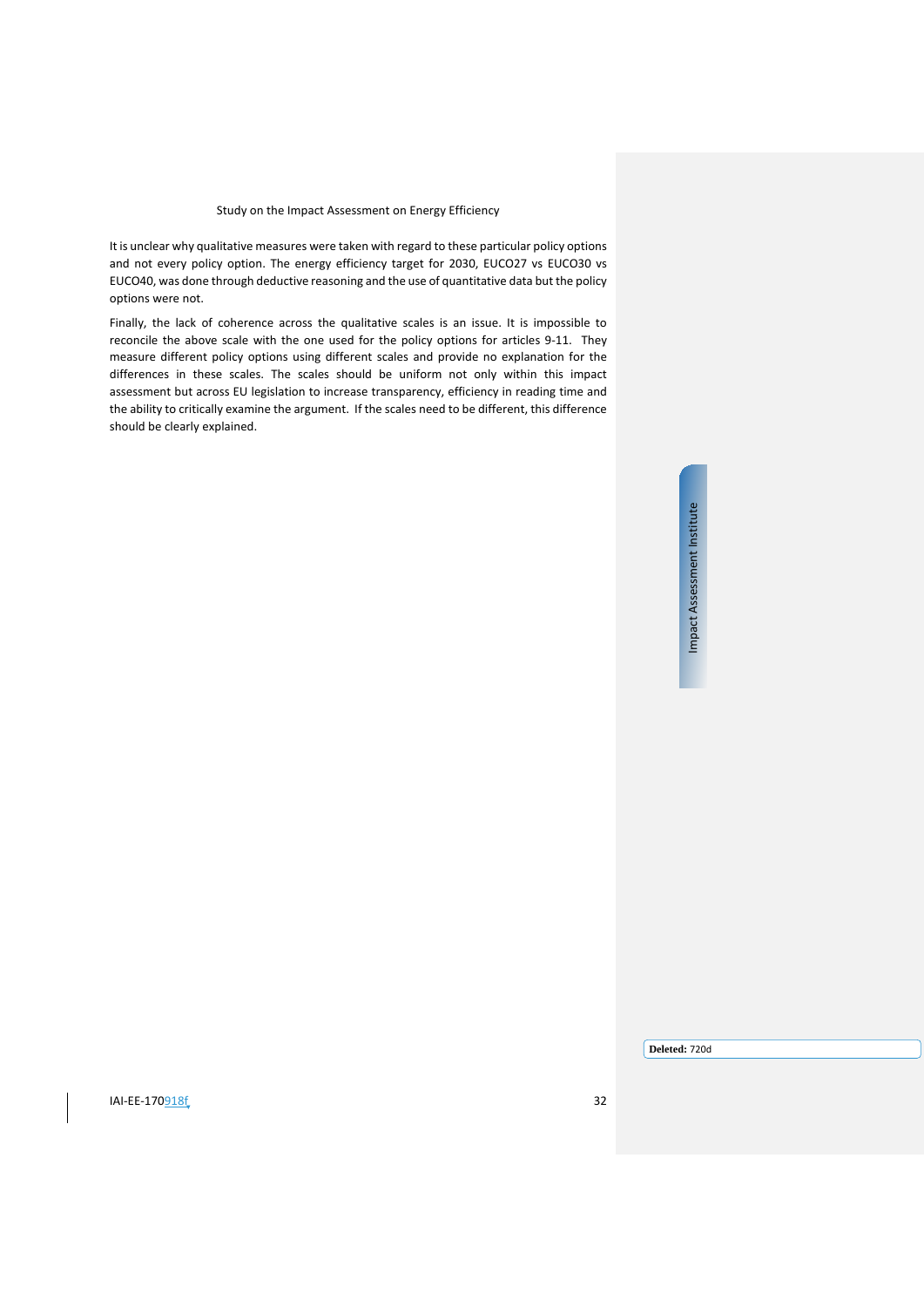It is unclear why qualitative measures were taken with regard to these particular policy options and not every policy option. The energy efficiency target for 2030, EUCO27 vs EUCO30 vs EUCO40, was done through deductive reasoning and the use of quantitative data but the policy options were not.

Finally, the lack of coherence across the qualitative scales is an issue. It is impossible to reconcile the above scale with the one used for the policy options for articles 9-11. They measure different policy options using different scales and provide no explanation for the differences in these scales. The scales should be uniform not only within this impact assessment but across EU legislation to increase transparency, efficiency in reading time and the ability to critically examine the argument. If the scales need to be different, this difference should be clearly explained.

# Impact Assessment Institute Impact Assessment Institute

 $IAI-EE-170918f$  32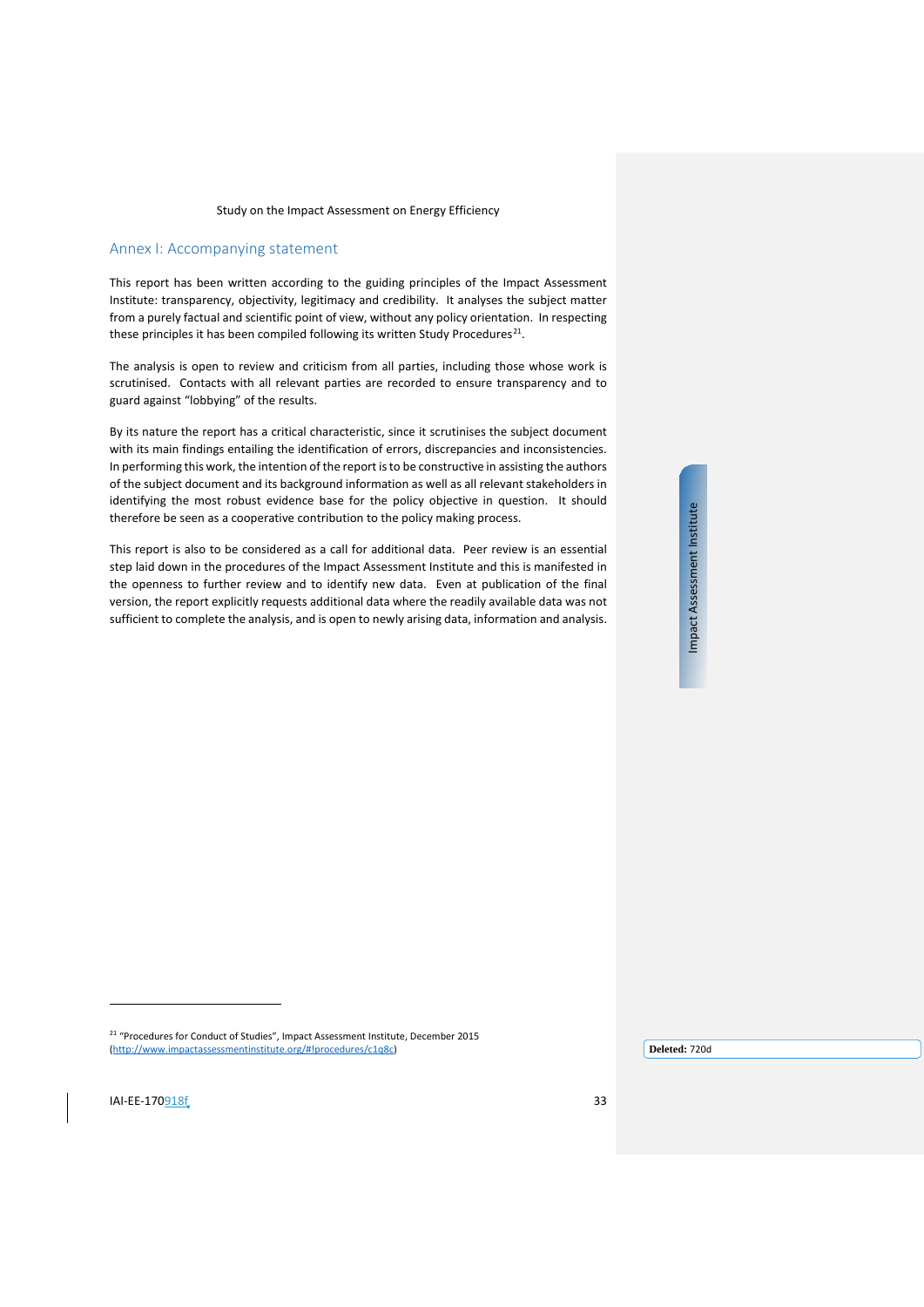# <span id="page-32-0"></span>Annex I: Accompanying statement

This report has been written according to the guiding principles of the Impact Assessment Institute: transparency, objectivity, legitimacy and credibility. It analyses the subject matter from a purely factual and scientific point of view, without any policy orientation. In respecting these principles it has been compiled following its written Study Procedures<sup>[21](#page-32-1)</sup>.

The analysis is open to review and criticism from all parties, including those whose work is scrutinised. Contacts with all relevant parties are recorded to ensure transparency and to guard against "lobbying" of the results.

By its nature the report has a critical characteristic, since it scrutinises the subject document with its main findings entailing the identification of errors, discrepancies and inconsistencies. In performing this work, the intention of the report is to be constructive in assisting the authors of the subject document and its background information as well as all relevant stakeholders in identifying the most robust evidence base for the policy objective in question. It should therefore be seen as a cooperative contribution to the policy making process.

This report is also to be considered as a call for additional data. Peer review is an essential step laid down in the procedures of the Impact Assessment Institute and this is manifested in the openness to further review and to identify new data. Even at publication of the final version, the report explicitly requests additional data where the readily available data was not sufficient to complete the analysis, and is open to newly arising data, information and analysis.

Impact Assessment Institute Impact Assessment Institute

<sup>21</sup> "Procedures for Conduct of Studies", Impact Assessment Institute, December 2015 [\(http://www.impactassessmentinstitute.org/#!procedures/c1q8c\)](http://www.impactassessmentinstitute.org/#!procedures/c1q8c)

**Deleted:** 720d

<span id="page-32-1"></span> $I = E - 170918f$  33

 $\overline{a}$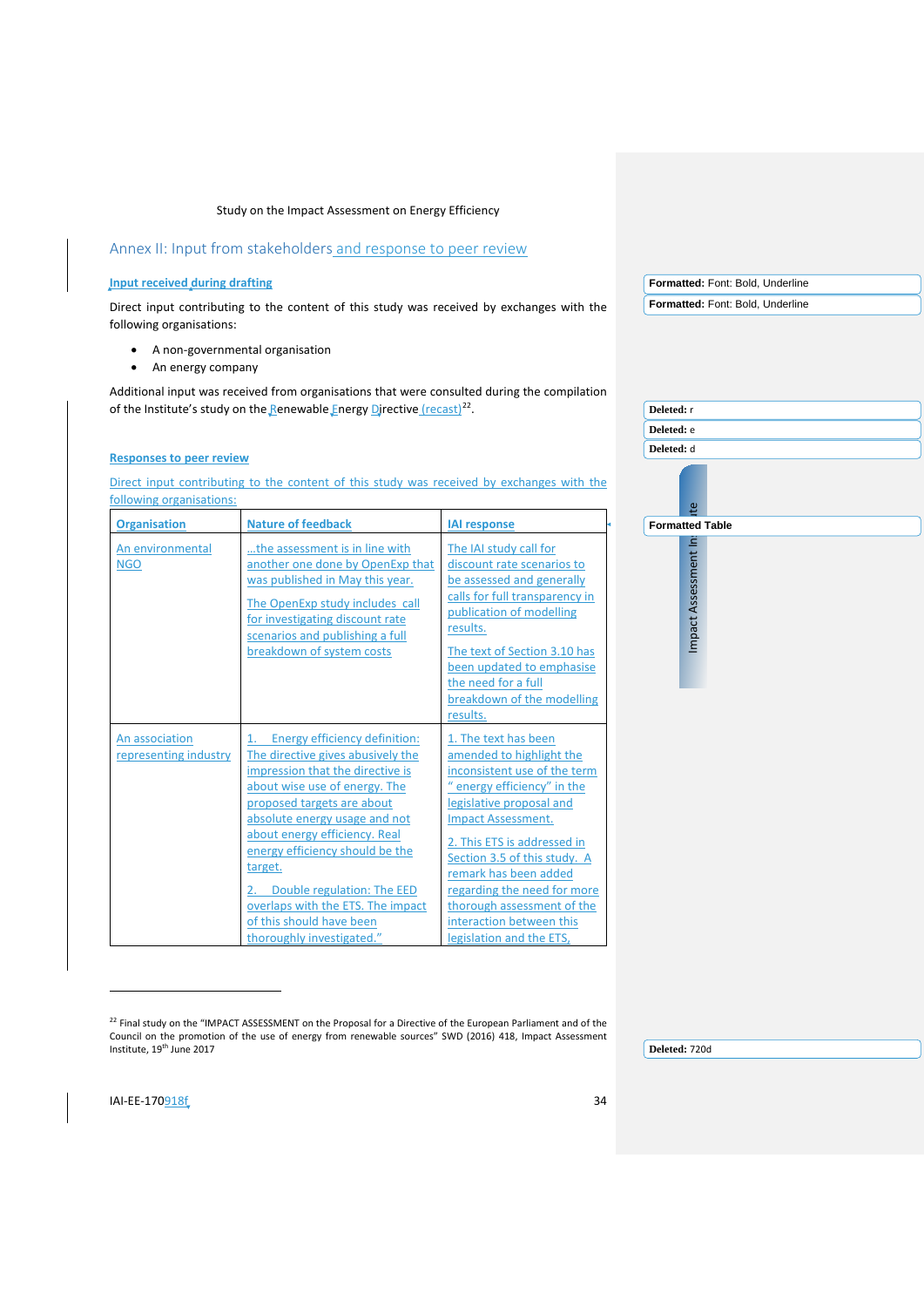# <span id="page-33-0"></span>Annex II: Input from stakeholders and response to peer review

#### **Input received during drafting**

Direct input contributing to the content of this study was received by exchanges with the following organisations:

- A non-governmental organisation
- An energy company

Additional input was received from organisations that were consulted during the compilation of the Institute's study on the Renewable Energy Directive  $(recast)^{22}$ .

#### **Responses to peer review**

Direct input contributing to the content of this study was received by exchanges with the following organisations:

|                                         |                                                                                                                                                                                                                                                                                                                                                                                                                   |                                                                                                                                                                                                                                                                                                                                                                                     | ீ                      |
|-----------------------------------------|-------------------------------------------------------------------------------------------------------------------------------------------------------------------------------------------------------------------------------------------------------------------------------------------------------------------------------------------------------------------------------------------------------------------|-------------------------------------------------------------------------------------------------------------------------------------------------------------------------------------------------------------------------------------------------------------------------------------------------------------------------------------------------------------------------------------|------------------------|
| <b>Organisation</b>                     | <b>Nature of feedback</b>                                                                                                                                                                                                                                                                                                                                                                                         | <b>IAI</b> response                                                                                                                                                                                                                                                                                                                                                                 | <b>Formatted Table</b> |
| An environmental<br><b>NGO</b>          | the assessment is in line with<br>another one done by OpenExp that<br>was published in May this year.<br>The OpenExp study includes call<br>for investigating discount rate<br>scenarios and publishing a full<br>breakdown of system costs                                                                                                                                                                       | The IAI study call for<br>discount rate scenarios to<br>be assessed and generally<br>calls for full transparency in<br>publication of modelling<br>results.<br>The text of Section 3.10 has<br>been updated to emphasise<br>the need for a full<br>breakdown of the modelling<br>results.                                                                                           | Impact Assessment Ins  |
| An association<br>representing industry | Energy efficiency definition:<br>The directive gives abusively the<br>impression that the directive is<br>about wise use of energy. The<br>proposed targets are about<br>absolute energy usage and not<br>about energy efficiency. Real<br>energy efficiency should be the<br>target.<br>Double regulation: The EED<br>overlaps with the ETS. The impact<br>of this should have been<br>thoroughly investigated." | 1. The text has been<br>amended to highlight the<br>inconsistent use of the term<br>energy efficiency" in the<br>legislative proposal and<br><b>Impact Assessment.</b><br>2. This ETS is addressed in<br>Section 3.5 of this study. A<br>remark has been added<br>regarding the need for more<br>thorough assessment of the<br>interaction between this<br>legislation and the ETS, |                        |

<span id="page-33-1"></span><sup>22</sup> Final study on the "IMPACT ASSESSMENT on the Proposal for a Directive of the European Parliament and of the Council on the promotion of the use of energy from renewable sources" SWD (2016) 418, Impact Assessment Institute, 19th June 2017

**Deleted:** 720d

**Formatted:** Font: Bold, Underline **Formatted:** Font: Bold, Underline

**Deleted:** r **Deleted:** e **Deleted:** d

j